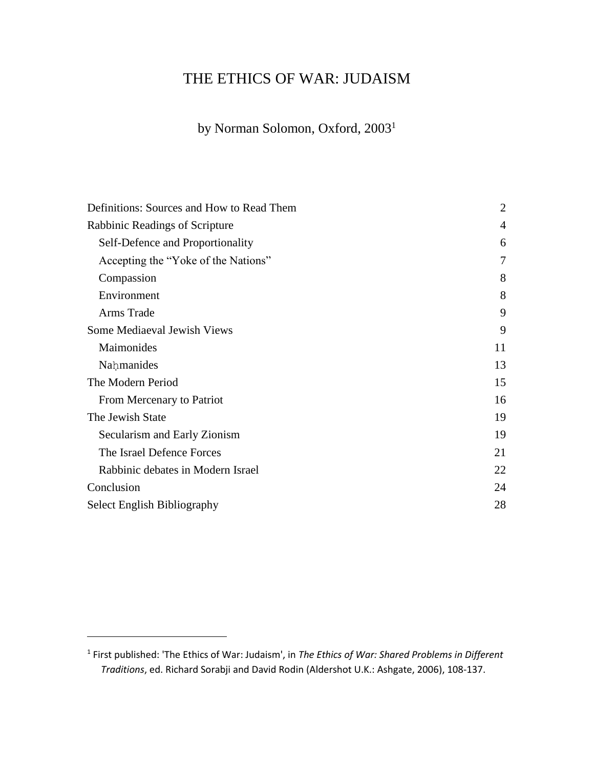# THE ETHICS OF WAR: JUDAISM

## by Norman Solomon, Oxford, 2003<sup>1</sup>

| Definitions: Sources and How to Read Them | 2  |
|-------------------------------------------|----|
| Rabbinic Readings of Scripture            | 4  |
| Self-Defence and Proportionality          | 6  |
| Accepting the "Yoke of the Nations"       | 7  |
| Compassion                                | 8  |
| Environment                               | 8  |
| Arms Trade                                | 9  |
| Some Mediaeval Jewish Views               | 9  |
| Maimonides                                | 11 |
| Nahmanides                                | 13 |
| The Modern Period                         | 15 |
| From Mercenary to Patriot                 | 16 |
| The Jewish State                          | 19 |
| Secularism and Early Zionism              | 19 |
| The Israel Defence Forces                 | 21 |
| Rabbinic debates in Modern Israel         | 22 |
| Conclusion                                | 24 |
| Select English Bibliography               | 28 |

<sup>&</sup>lt;sup>1</sup> First published: 'The Ethics of War: Judaism', in *The Ethics of War: Shared Problems in Different Traditions*, ed. Richard Sorabji and David Rodin (Aldershot U.K.: Ashgate, 2006), 108-137.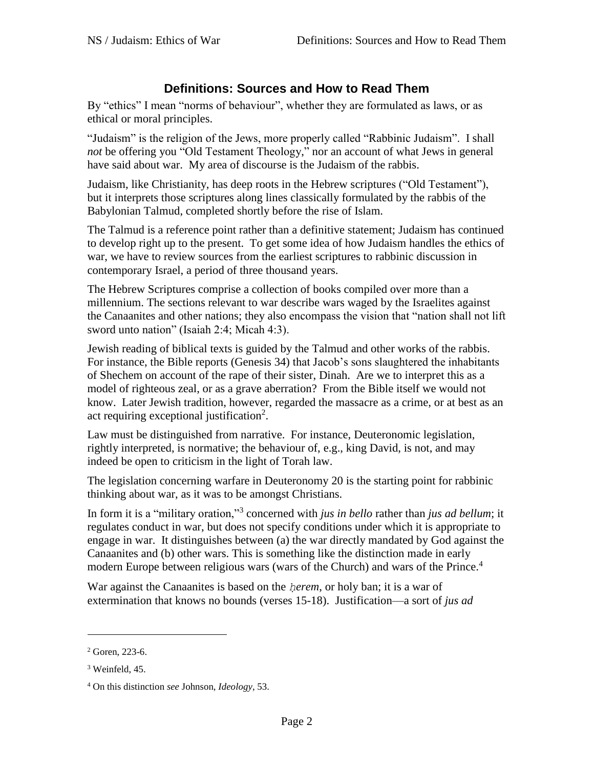## **Definitions: Sources and How to Read Them**

By "ethics" I mean "norms of behaviour", whether they are formulated as laws, or as ethical or moral principles.

"Judaism" is the religion of the Jews, more properly called "Rabbinic Judaism". I shall *not* be offering you "Old Testament Theology," nor an account of what Jews in general have said about war. My area of discourse is the Judaism of the rabbis.

Judaism, like Christianity, has deep roots in the Hebrew scriptures ("Old Testament"), but it interprets those scriptures along lines classically formulated by the rabbis of the Babylonian Talmud, completed shortly before the rise of Islam.

The Talmud is a reference point rather than a definitive statement; Judaism has continued to develop right up to the present. To get some idea of how Judaism handles the ethics of war, we have to review sources from the earliest scriptures to rabbinic discussion in contemporary Israel, a period of three thousand years.

The Hebrew Scriptures comprise a collection of books compiled over more than a millennium. The sections relevant to war describe wars waged by the Israelites against the Canaanites and other nations; they also encompass the vision that "nation shall not lift sword unto nation" (Isaiah 2:4; Micah 4:3).

Jewish reading of biblical texts is guided by the Talmud and other works of the rabbis. For instance, the Bible reports (Genesis 34) that Jacob's sons slaughtered the inhabitants of Shechem on account of the rape of their sister, Dinah. Are we to interpret this as a model of righteous zeal, or as a grave aberration? From the Bible itself we would not know. Later Jewish tradition, however, regarded the massacre as a crime, or at best as an act requiring exceptional justification<sup>2</sup>.

Law must be distinguished from narrative. For instance, Deuteronomic legislation, rightly interpreted, is normative; the behaviour of, e.g., king David, is not, and may indeed be open to criticism in the light of Torah law.

The legislation concerning warfare in Deuteronomy 20 is the starting point for rabbinic thinking about war, as it was to be amongst Christians.

In form it is a "military oration,"<sup>3</sup> concerned with *jus in bello* rather than *jus ad bellum*; it regulates conduct in war, but does not specify conditions under which it is appropriate to engage in war. It distinguishes between (a) the war directly mandated by God against the Canaanites and (b) other wars. This is something like the distinction made in early modern Europe between religious wars (wars of the Church) and wars of the Prince.<sup>4</sup>

War against the Canaanites is based on the *ḥerem*, or holy ban; it is a war of extermination that knows no bounds (verses 15-18). Justification—a sort of *jus ad* 

<sup>2</sup> Goren, 223-6.

<sup>3</sup> Weinfeld, 45.

<sup>4</sup> On this distinction *see* Johnson, *Ideology*, 53.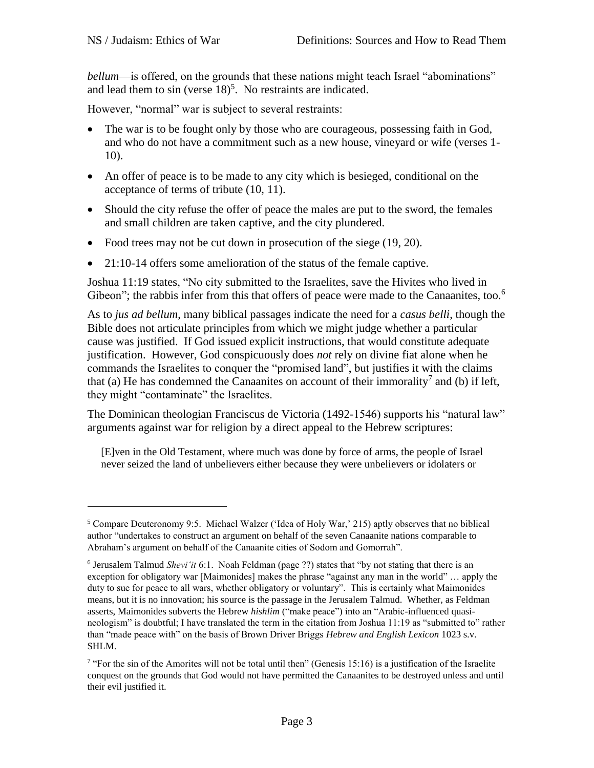$\overline{a}$ 

*bellum*—is offered, on the grounds that these nations might teach Israel "abominations" and lead them to sin (verse  $18$ )<sup>5</sup>. No restraints are indicated.

However, "normal" war is subject to several restraints:

- The war is to be fought only by those who are courageous, possessing faith in God, and who do not have a commitment such as a new house, vineyard or wife (verses 1- 10).
- An offer of peace is to be made to any city which is besieged, conditional on the acceptance of terms of tribute (10, 11).
- Should the city refuse the offer of peace the males are put to the sword, the females and small children are taken captive, and the city plundered.
- Food trees may not be cut down in prosecution of the siege (19, 20).
- 21:10-14 offers some amelioration of the status of the female captive.

Joshua 11:19 states, "No city submitted to the Israelites, save the Hivites who lived in Gibeon"; the rabbis infer from this that offers of peace were made to the Canaanites, too.<sup>6</sup>

As to *jus ad bellum*, many biblical passages indicate the need for a *casus belli*, though the Bible does not articulate principles from which we might judge whether a particular cause was justified. If God issued explicit instructions, that would constitute adequate justification. However, God conspicuously does *not* rely on divine fiat alone when he commands the Israelites to conquer the "promised land", but justifies it with the claims that (a) He has condemned the Canaanites on account of their immorality<sup>7</sup> and (b) if left, they might "contaminate" the Israelites.

The Dominican theologian Franciscus de Victoria (1492-1546) supports his "natural law" arguments against war for religion by a direct appeal to the Hebrew scriptures:

[E]ven in the Old Testament, where much was done by force of arms, the people of Israel never seized the land of unbelievers either because they were unbelievers or idolaters or

<sup>5</sup> Compare Deuteronomy 9:5. Michael Walzer ('Idea of Holy War,' 215) aptly observes that no biblical author "undertakes to construct an argument on behalf of the seven Canaanite nations comparable to Abraham's argument on behalf of the Canaanite cities of Sodom and Gomorrah".

<sup>&</sup>lt;sup>6</sup> Jerusalem Talmud *Shevi'it* 6:1. Noah Feldman (page ??) states that "by not stating that there is an exception for obligatory war [Maimonides] makes the phrase "against any man in the world" … apply the duty to sue for peace to all wars, whether obligatory or voluntary". This is certainly what Maimonides means, but it is no innovation; his source is the passage in the Jerusalem Talmud. Whether, as Feldman asserts, Maimonides subverts the Hebrew *hishlim* ("make peace") into an "Arabic-influenced quasineologism" is doubtful; I have translated the term in the citation from Joshua 11:19 as "submitted to" rather than "made peace with" on the basis of Brown Driver Briggs *Hebrew and English Lexicon* 1023 s.v. SHLM.

<sup>&</sup>lt;sup>7</sup> "For the sin of the Amorites will not be total until then" (Genesis 15:16) is a justification of the Israelite conquest on the grounds that God would not have permitted the Canaanites to be destroyed unless and until their evil justified it.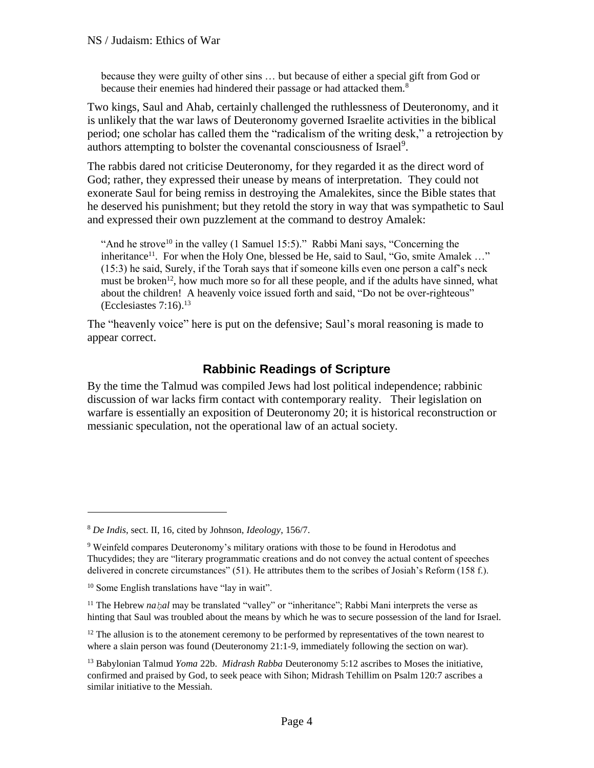because they were guilty of other sins … but because of either a special gift from God or because their enemies had hindered their passage or had attacked them.<sup>8</sup>

Two kings, Saul and Ahab, certainly challenged the ruthlessness of Deuteronomy, and it is unlikely that the war laws of Deuteronomy governed Israelite activities in the biblical period; one scholar has called them the "radicalism of the writing desk," a retrojection by authors attempting to bolster the covenantal consciousness of Israel<sup>9</sup>.

The rabbis dared not criticise Deuteronomy, for they regarded it as the direct word of God; rather, they expressed their unease by means of interpretation. They could not exonerate Saul for being remiss in destroying the Amalekites, since the Bible states that he deserved his punishment; but they retold the story in way that was sympathetic to Saul and expressed their own puzzlement at the command to destroy Amalek:

"And he strove<sup>10</sup> in the valley  $(1 \text{ Samuel } 15:5)$ ." Rabbi Mani says, "Concerning the inheritance<sup>11</sup>. For when the Holy One, blessed be He, said to Saul, "Go, smite Amalek ..." (15:3) he said, Surely, if the Torah says that if someone kills even one person a calf's neck must be broken<sup>12</sup>, how much more so for all these people, and if the adults have sinned, what about the children! A heavenly voice issued forth and said, "Do not be over-righteous" (Ecclesiastes  $7:16$ ).<sup>13</sup>

The "heavenly voice" here is put on the defensive; Saul's moral reasoning is made to appear correct.

## **Rabbinic Readings of Scripture**

By the time the Talmud was compiled Jews had lost political independence; rabbinic discussion of war lacks firm contact with contemporary reality. Their legislation on warfare is essentially an exposition of Deuteronomy 20; it is historical reconstruction or messianic speculation, not the operational law of an actual society.

<sup>8</sup> *De Indis*, sect. II, 16, cited by Johnson, *Ideology*, 156/7.

<sup>9</sup> Weinfeld compares Deuteronomy's military orations with those to be found in Herodotus and Thucydides; they are "literary programmatic creations and do not convey the actual content of speeches delivered in concrete circumstances" (51). He attributes them to the scribes of Josiah's Reform (158 f.).

<sup>10</sup> Some English translations have "lay in wait".

<sup>&</sup>lt;sup>11</sup> The Hebrew *nahal* may be translated "valley" or "inheritance"; Rabbi Mani interprets the verse as hinting that Saul was troubled about the means by which he was to secure possession of the land for Israel.

 $12$  The allusion is to the atonement ceremony to be performed by representatives of the town nearest to where a slain person was found (Deuteronomy 21:1-9, immediately following the section on war).

<sup>13</sup> Babylonian Talmud *Yoma* 22b. *Midrash Rabba* Deuteronomy 5:12 ascribes to Moses the initiative, confirmed and praised by God, to seek peace with Sihon; Midrash Tehillim on Psalm 120:7 ascribes a similar initiative to the Messiah.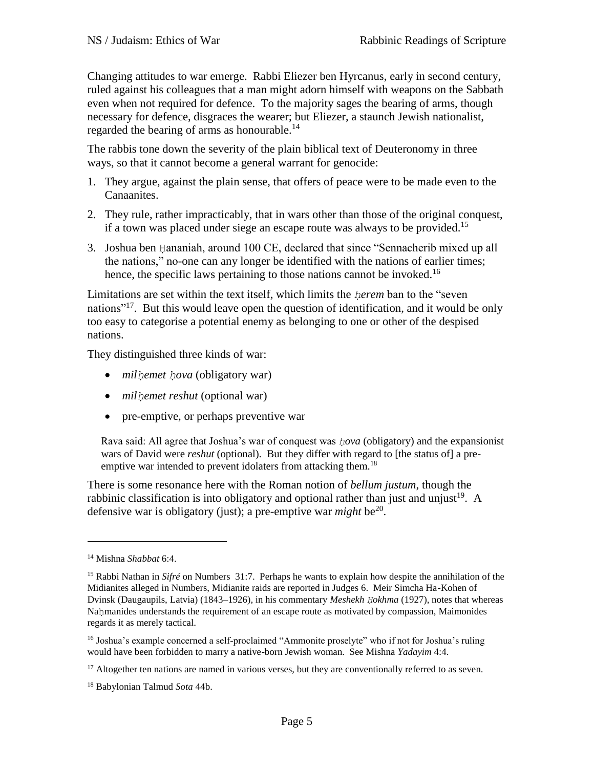Changing attitudes to war emerge. Rabbi Eliezer ben Hyrcanus, early in second century, ruled against his colleagues that a man might adorn himself with weapons on the Sabbath even when not required for defence. To the majority sages the bearing of arms, though necessary for defence, disgraces the wearer; but Eliezer, a staunch Jewish nationalist, regarded the bearing of arms as honourable.<sup>14</sup>

The rabbis tone down the severity of the plain biblical text of Deuteronomy in three ways, so that it cannot become a general warrant for genocide:

- 1. They argue, against the plain sense, that offers of peace were to be made even to the Canaanites.
- 2. They rule, rather impracticably, that in wars other than those of the original conquest, if a town was placed under siege an escape route was always to be provided.<sup>15</sup>
- 3. Joshua ben Ḥananiah, around 100 CE, declared that since "Sennacherib mixed up all the nations," no-one can any longer be identified with the nations of earlier times; hence, the specific laws pertaining to those nations cannot be invoked.<sup>16</sup>

Limitations are set within the text itself, which limits the *ḥerem* ban to the "seven nations"<sup>17</sup>. But this would leave open the question of identification, and it would be only too easy to categorise a potential enemy as belonging to one or other of the despised nations.

They distinguished three kinds of war:

- *milhemet hova* (obligatory war)
- *milhemet reshut* (optional war)
- pre-emptive, or perhaps preventive war

Rava said: All agree that Joshua's war of conquest was *ḥova* (obligatory) and the expansionist wars of David were *reshut* (optional). But they differ with regard to [the status of] a preemptive war intended to prevent idolaters from attacking them.<sup>18</sup>

There is some resonance here with the Roman notion of *bellum justum*, though the rabbinic classification is into obligatory and optional rather than just and unjust<sup>19</sup>. A defensive war is obligatory (just); a pre-emptive war *might* be<sup>20</sup>.

<sup>14</sup> Mishna *Shabbat* 6:4.

<sup>&</sup>lt;sup>15</sup> Rabbi Nathan in *Sifré* on Numbers 31:7. Perhaps he wants to explain how despite the annihilation of the Midianites alleged in Numbers, Midianite raids are reported in Judges 6. Meir Simcha Ha-Kohen of Dvinsk (Daugaupils, Latvia) (1843–1926), in his commentary *Meshekh Ḥokhma* (1927), notes that whereas Nahmanides understands the requirement of an escape route as motivated by compassion, Maimonides regards it as merely tactical.

<sup>&</sup>lt;sup>16</sup> Joshua's example concerned a self-proclaimed "Ammonite proselyte" who if not for Joshua's ruling would have been forbidden to marry a native-born Jewish woman. See Mishna *Yadayim* 4:4.

<sup>&</sup>lt;sup>17</sup> Altogether ten nations are named in various verses, but they are conventionally referred to as seven.

<sup>18</sup> Babylonian Talmud *Sota* 44b.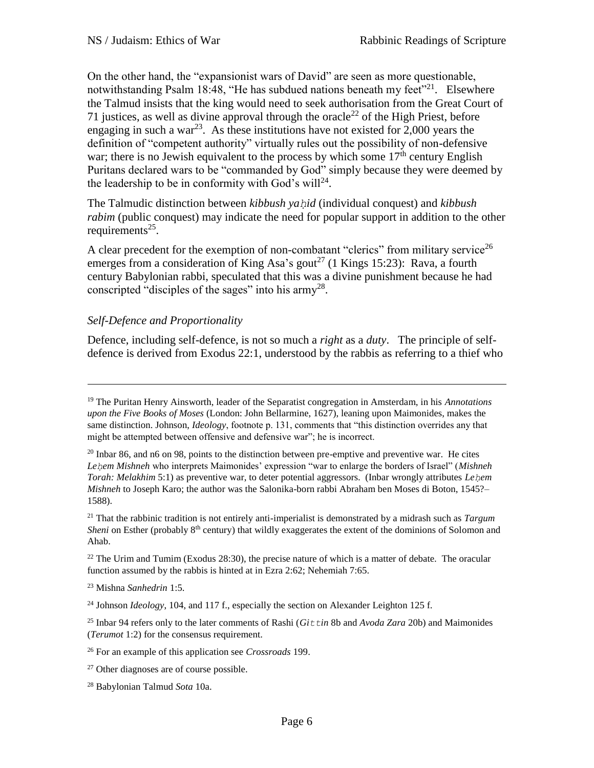On the other hand, the "expansionist wars of David" are seen as more questionable, notwithstanding Psalm 18:48, "He has subdued nations beneath my feet"<sup>21</sup>. Elsewhere the Talmud insists that the king would need to seek authorisation from the Great Court of 71 justices, as well as divine approval through the oracle<sup>22</sup> of the High Priest, before engaging in such a war<sup>23</sup>. As these institutions have not existed for 2,000 years the definition of "competent authority" virtually rules out the possibility of non-defensive war; there is no Jewish equivalent to the process by which some  $17<sup>th</sup>$  century English Puritans declared wars to be "commanded by God" simply because they were deemed by the leadership to be in conformity with God's will<sup>24</sup>.

The Talmudic distinction between *kibbush yaḥid* (individual conquest) and *kibbush rabim* (public conquest) may indicate the need for popular support in addition to the other requirements<sup>25</sup>.

A clear precedent for the exemption of non-combatant "clerics" from military service<sup>26</sup> emerges from a consideration of King Asa's gout<sup>27</sup> (1 Kings 15:23): Rava, a fourth century Babylonian rabbi, speculated that this was a divine punishment because he had conscripted "disciples of the sages" into his army<sup>28</sup>.

#### *Self-Defence and Proportionality*

Defence, including self-defence, is not so much a *right* as a *duty*. The principle of selfdefence is derived from Exodus 22:1, understood by the rabbis as referring to a thief who

<sup>21</sup> That the rabbinic tradition is not entirely anti-imperialist is demonstrated by a midrash such as *Targum Sheni* on Esther (probably  $8<sup>th</sup>$  century) that wildly exaggerates the extent of the dominions of Solomon and Ahab.

 $^{22}$  The Urim and Tumim (Exodus 28:30), the precise nature of which is a matter of debate. The oracular function assumed by the rabbis is hinted at in Ezra 2:62; Nehemiah 7:65.

<sup>23</sup> Mishna *Sanhedrin* 1:5.

 $\overline{a}$ 

<sup>24</sup> Johnson *Ideology*, 104, and 117 f., especially the section on Alexander Leighton 125 f.

<sup>25</sup> Inbar 94 refers only to the later comments of Rashi (*Gittin* 8b and *Avoda Zara* 20b) and Maimonides (*Terumot* 1:2) for the consensus requirement.

<sup>26</sup> For an example of this application see *Crossroads* 199.

<sup>19</sup> The Puritan Henry Ainsworth, leader of the Separatist congregation in Amsterdam, in his *Annotations upon the Five Books of Moses* (London: John Bellarmine, 1627), leaning upon Maimonides, makes the same distinction. Johnson, *Ideology*, footnote p. 131, comments that "this distinction overrides any that might be attempted between offensive and defensive war"; he is incorrect.

 $20$  Inbar 86, and n6 on 98, points to the distinction between pre-emptive and preventive war. He cites *Leḥem Mishneh* who interprets Maimonides' expression "war to enlarge the borders of Israel" (*Mishneh Torah: Melakhim* 5:1) as preventive war, to deter potential aggressors. (Inbar wrongly attributes *Leḥem Mishneh* to Joseph Karo; the author was the Salonika-born rabbi Abraham ben Moses di Boton, 1545?– 1588).

<sup>&</sup>lt;sup>27</sup> Other diagnoses are of course possible.

<sup>28</sup> Babylonian Talmud *Sota* 10a.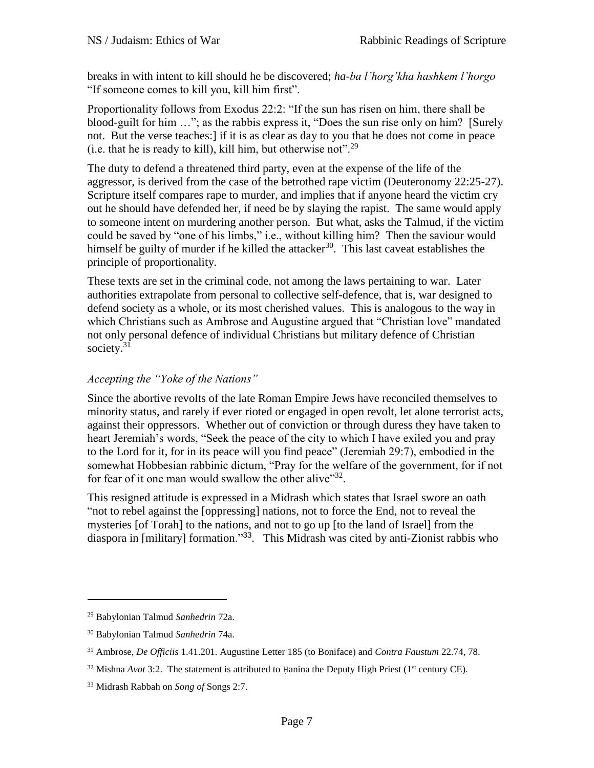breaks in with intent to kill should he be discovered; *ha-ba l'horg'kha hashkem l'horgo*  "If someone comes to kill you, kill him first".

Proportionality follows from Exodus 22:2: "If the sun has risen on him, there shall be blood-guilt for him …"; as the rabbis express it, "Does the sun rise only on him? [Surely not. But the verse teaches:] if it is as clear as day to you that he does not come in peace (i.e. that he is ready to kill), kill him, but otherwise not".<sup>29</sup>

The duty to defend a threatened third party, even at the expense of the life of the aggressor, is derived from the case of the betrothed rape victim (Deuteronomy 22:25-27). Scripture itself compares rape to murder, and implies that if anyone heard the victim cry out he should have defended her, if need be by slaying the rapist. The same would apply to someone intent on murdering another person. But what, asks the Talmud, if the victim could be saved by "one of his limbs," i.e., without killing him? Then the saviour would himself be guilty of murder if he killed the attacker<sup>30</sup>. This last caveat establishes the principle of proportionality.

These texts are set in the criminal code, not among the laws pertaining to war. Later authorities extrapolate from personal to collective self-defence, that is, war designed to defend society as a whole, or its most cherished values. This is analogous to the way in which Christians such as Ambrose and Augustine argued that "Christian love" mandated not only personal defence of individual Christians but military defence of Christian society. $31$ 

## *Accepting the "Yoke of the Nations"*

Since the abortive revolts of the late Roman Empire Jews have reconciled themselves to minority status, and rarely if ever rioted or engaged in open revolt, let alone terrorist acts, against their oppressors. Whether out of conviction or through duress they have taken to heart Jeremiah's words, "Seek the peace of the city to which I have exiled you and pray to the Lord for it, for in its peace will you find peace" (Jeremiah 29:7), embodied in the somewhat Hobbesian rabbinic dictum, "Pray for the welfare of the government, for if not for fear of it one man would swallow the other alive"<sup>32</sup>.

This resigned attitude is expressed in a Midrash which states that Israel swore an oath "not to rebel against the [oppressing] nations, not to force the End, not to reveal the mysteries [of Torah] to the nations, and not to go up [to the land of Israel] from the diaspora in [military] formation."<sup>33</sup>. This Midrash was cited by anti-Zionist rabbis who

<sup>29</sup> Babylonian Talmud *Sanhedrin* 72a.

<sup>30</sup> Babylonian Talmud *Sanhedrin* 74a.

<sup>31</sup> Ambrose, *De Officiis* 1.41.201. Augustine Letter 185 (to Boniface) and *Contra Faustum* 22.74, 78.

 $32$  Mishna *Avot* 3:2. The statement is attributed to Hanina the Deputy High Priest (1<sup>st</sup> century CE).

<sup>33</sup> Midrash Rabbah on *Song of* Songs 2:7.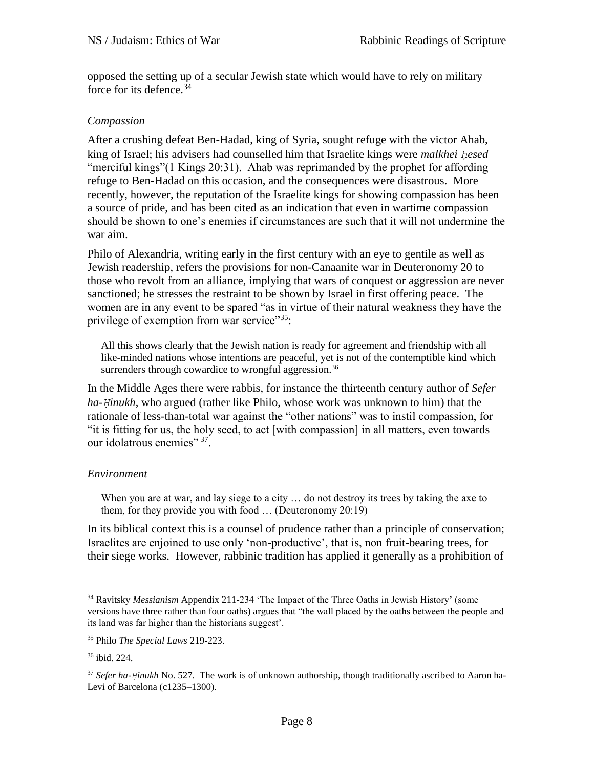opposed the setting up of a secular Jewish state which would have to rely on military force for its defence.<sup>34</sup>

#### *Compassion*

After a crushing defeat Ben-Hadad, king of Syria, sought refuge with the victor Ahab, king of Israel; his advisers had counselled him that Israelite kings were *malkhei ḥesed* "merciful kings"(1 Kings 20:31). Ahab was reprimanded by the prophet for affording refuge to Ben-Hadad on this occasion, and the consequences were disastrous. More recently, however, the reputation of the Israelite kings for showing compassion has been a source of pride, and has been cited as an indication that even in wartime compassion should be shown to one's enemies if circumstances are such that it will not undermine the war aim.

Philo of Alexandria, writing early in the first century with an eye to gentile as well as Jewish readership, refers the provisions for non-Canaanite war in Deuteronomy 20 to those who revolt from an alliance, implying that wars of conquest or aggression are never sanctioned; he stresses the restraint to be shown by Israel in first offering peace. The women are in any event to be spared "as in virtue of their natural weakness they have the privilege of exemption from war service"<sup>35</sup>:

All this shows clearly that the Jewish nation is ready for agreement and friendship with all like-minded nations whose intentions are peaceful, yet is not of the contemptible kind which surrenders through cowardice to wrongful aggression.<sup>36</sup>

In the Middle Ages there were rabbis, for instance the thirteenth century author of *Sefer ha-Ḥinukh*, who argued (rather like Philo, whose work was unknown to him) that the rationale of less-than-total war against the "other nations" was to instil compassion, for "it is fitting for us, the holy seed, to act [with compassion] in all matters, even towards our idolatrous enemies" 37.

### *Environment*

When you are at war, and lay siege to a city ... do not destroy its trees by taking the axe to them, for they provide you with food … (Deuteronomy 20:19)

In its biblical context this is a counsel of prudence rather than a principle of conservation; Israelites are enjoined to use only 'non-productive', that is, non fruit-bearing trees, for their siege works. However, rabbinic tradition has applied it generally as a prohibition of

<sup>34</sup> Ravitsky *Messianism* Appendix 211-234 'The Impact of the Three Oaths in Jewish History' (some versions have three rather than four oaths) argues that "the wall placed by the oaths between the people and its land was far higher than the historians suggest'.

<sup>35</sup> Philo *The Special Laws* 219-223.

<sup>36</sup> ibid. 224.

<sup>37</sup> *Sefer ha-Ḥinukh* No. 527. The work is of unknown authorship, though traditionally ascribed to Aaron ha-Levi of Barcelona (c1235–1300).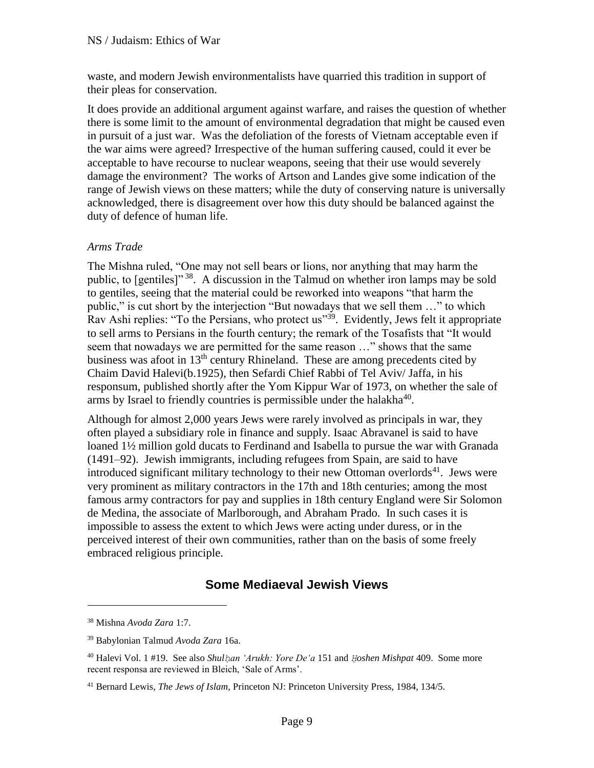waste, and modern Jewish environmentalists have quarried this tradition in support of their pleas for conservation.

It does provide an additional argument against warfare, and raises the question of whether there is some limit to the amount of environmental degradation that might be caused even in pursuit of a just war. Was the defoliation of the forests of Vietnam acceptable even if the war aims were agreed? Irrespective of the human suffering caused, could it ever be acceptable to have recourse to nuclear weapons, seeing that their use would severely damage the environment? The works of Artson and Landes give some indication of the range of Jewish views on these matters; while the duty of conserving nature is universally acknowledged, there is disagreement over how this duty should be balanced against the duty of defence of human life.

#### *Arms Trade*

The Mishna ruled, "One may not sell bears or lions, nor anything that may harm the public, to [gentiles]" <sup>38</sup>. A discussion in the Talmud on whether iron lamps may be sold to gentiles, seeing that the material could be reworked into weapons "that harm the public," is cut short by the interjection "But nowadays that we sell them …" to which Rav Ashi replies: "To the Persians, who protect us"<sup>39</sup>. Evidently, Jews felt it appropriate to sell arms to Persians in the fourth century; the remark of the Tosafists that "It would seem that nowadays we are permitted for the same reason …" shows that the same business was afoot in  $13<sup>th</sup>$  century Rhineland. These are among precedents cited by Chaim David Halevi(b.1925), then Sefardi Chief Rabbi of Tel Aviv/ Jaffa, in his responsum, published shortly after the Yom Kippur War of 1973, on whether the sale of arms by Israel to friendly countries is permissible under the halakha $40$ .

Although for almost 2,000 years Jews were rarely involved as principals in war, they often played a subsidiary role in finance and supply. Isaac Abravanel is said to have loaned 1½ million gold ducats to Ferdinand and Isabella to pursue the war with Granada (1491–92). Jewish immigrants, including refugees from Spain, are said to have introduced significant military technology to their new Ottoman overlords<sup>41</sup>. Jews were very prominent as military contractors in the 17th and 18th centuries; among the most famous army contractors for pay and supplies in 18th century England were Sir Solomon de Medina, the associate of Marlborough, and Abraham Prado. In such cases it is impossible to assess the extent to which Jews were acting under duress, or in the perceived interest of their own communities, rather than on the basis of some freely embraced religious principle.

## **Some Mediaeval Jewish Views**

<sup>38</sup> Mishna *Avoda Zara* 1:7.

<sup>39</sup> Babylonian Talmud *Avoda Zara* 16a.

<sup>40</sup> Halevi Vol. 1 #19. See also *Shulḥan 'Arukh: Yore De'a* 151 and *Ḥoshen Mishpat* 409. Some more recent responsa are reviewed in Bleich, 'Sale of Arms'.

<sup>41</sup> Bernard Lewis, *The Jews of Islam*, Princeton NJ: Princeton University Press, 1984, 134/5.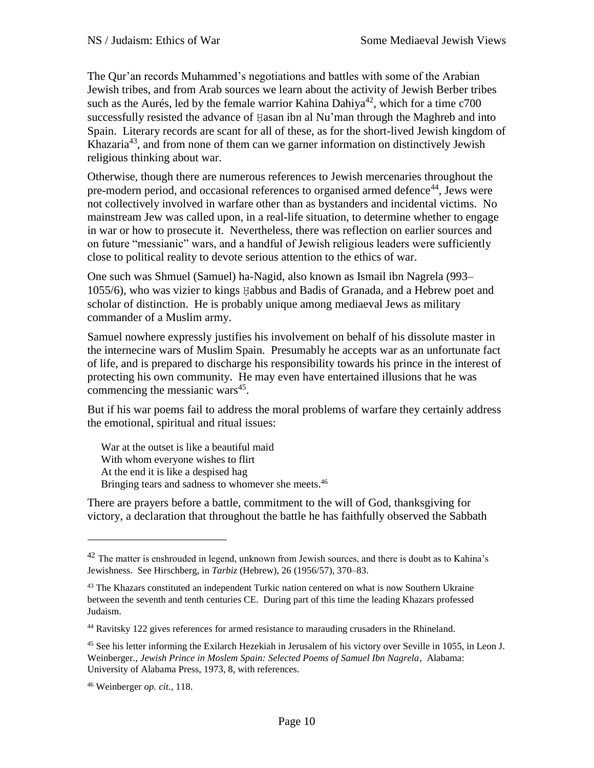The Qur'an records Muhammed's negotiations and battles with some of the Arabian Jewish tribes, and from Arab sources we learn about the activity of Jewish Berber tribes such as the Aurés, led by the female warrior Kahina Dahiya<sup>42</sup>, which for a time  $c700$ successfully resisted the advance of Hasan ibn al Nu'man through the Maghreb and into Spain. Literary records are scant for all of these, as for the short-lived Jewish kingdom of Khazaria<sup>43</sup>, and from none of them can we garner information on distinctively Jewish religious thinking about war.

Otherwise, though there are numerous references to Jewish mercenaries throughout the pre-modern period, and occasional references to organised armed defence<sup>44</sup>, Jews were not collectively involved in warfare other than as bystanders and incidental victims. No mainstream Jew was called upon, in a real-life situation, to determine whether to engage in war or how to prosecute it. Nevertheless, there was reflection on earlier sources and on future "messianic" wars, and a handful of Jewish religious leaders were sufficiently close to political reality to devote serious attention to the ethics of war.

One such was Shmuel (Samuel) ha-Nagid, also known as Ismail ibn Nagrela (993– 1055/6), who was vizier to kings Ḥabbus and Badis of Granada, and a Hebrew poet and scholar of distinction. He is probably unique among mediaeval Jews as military commander of a Muslim army.

Samuel nowhere expressly justifies his involvement on behalf of his dissolute master in the internecine wars of Muslim Spain. Presumably he accepts war as an unfortunate fact of life, and is prepared to discharge his responsibility towards his prince in the interest of protecting his own community. He may even have entertained illusions that he was commencing the messianic wars<sup>45</sup>.

But if his war poems fail to address the moral problems of warfare they certainly address the emotional, spiritual and ritual issues:

War at the outset is like a beautiful maid With whom everyone wishes to flirt At the end it is like a despised hag Bringing tears and sadness to whomever she meets.<sup>46</sup>

There are prayers before a battle, commitment to the will of God, thanksgiving for victory, a declaration that throughout the battle he has faithfully observed the Sabbath

 $^{42}$  The matter is enshrouded in legend, unknown from Jewish sources, and there is doubt as to Kahina's Jewishness. See Hirschberg, in *Tarbiz* (Hebrew), 26 (1956/57), 370–83.

<sup>&</sup>lt;sup>43</sup> The Khazars constituted an independent Turkic nation centered on what is now Southern Ukraine between the seventh and tenth centuries CE. During part of this time the leading Khazars professed Judaism.

<sup>44</sup> Ravitsky 122 gives references for armed resistance to marauding crusaders in the Rhineland.

<sup>&</sup>lt;sup>45</sup> See his letter informing the Exilarch Hezekiah in Jerusalem of his victory over Seville in 1055, in Leon J. Weinberger., *Jewish Prince in Moslem Spain: Selected Poems of Samuel Ibn Nagrela*, Alabama: University of Alabama Press, 1973, 8, with references.

<sup>46</sup> Weinberger *op. cit.,* 118.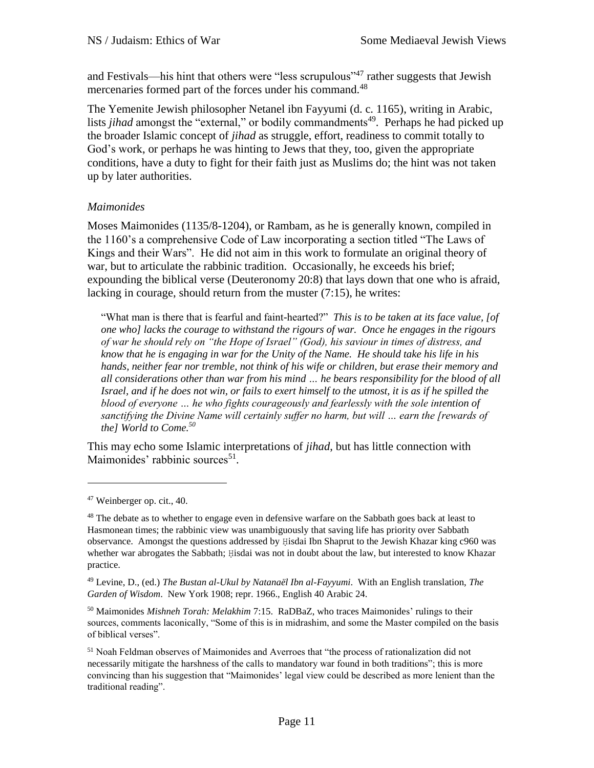and Festivals—his hint that others were "less scrupulous"<sup>47</sup> rather suggests that Jewish mercenaries formed part of the forces under his command.<sup>48</sup>

The Yemenite Jewish philosopher Netanel ibn Fayyumi (d. c. 1165), writing in Arabic, lists *jihad* amongst the "external," or bodily commandments<sup>49</sup>. Perhaps he had picked up the broader Islamic concept of *jihad* as struggle, effort, readiness to commit totally to God's work, or perhaps he was hinting to Jews that they, too, given the appropriate conditions, have a duty to fight for their faith just as Muslims do; the hint was not taken up by later authorities.

#### *Maimonides*

Moses Maimonides (1135/8-1204), or Rambam, as he is generally known, compiled in the 1160's a comprehensive Code of Law incorporating a section titled "The Laws of Kings and their Wars". He did not aim in this work to formulate an original theory of war, but to articulate the rabbinic tradition. Occasionally, he exceeds his brief; expounding the biblical verse (Deuteronomy 20:8) that lays down that one who is afraid, lacking in courage, should return from the muster (7:15), he writes:

"What man is there that is fearful and faint-hearted?" *This is to be taken at its face value, [of one who] lacks the courage to withstand the rigours of war. Once he engages in the rigours of war he should rely on "the Hope of Israel" (God), his saviour in times of distress, and know that he is engaging in war for the Unity of the Name. He should take his life in his hands, neither fear nor tremble, not think of his wife or children, but erase their memory and all considerations other than war from his mind … he bears responsibility for the blood of all Israel, and if he does not win, or fails to exert himself to the utmost, it is as if he spilled the blood of everyone … he who fights courageously and fearlessly with the sole intention of sanctifying the Divine Name will certainly suffer no harm, but will … earn the [rewards of the] World to Come.<sup>50</sup>*

This may echo some Islamic interpretations of *jihad*, but has little connection with Maimonides' rabbinic sources<sup>51</sup>.

<sup>47</sup> Weinberger op. cit., 40.

<sup>&</sup>lt;sup>48</sup> The debate as to whether to engage even in defensive warfare on the Sabbath goes back at least to Hasmonean times; the rabbinic view was unambiguously that saving life has priority over Sabbath observance. Amongst the questions addressed by Ḥisdai Ibn Shaprut to the Jewish Khazar king c960 was whether war abrogates the Sabbath; Hisdai was not in doubt about the law, but interested to know Khazar practice.

<sup>49</sup> Levine, D., (ed.) *The Bustan al-Ukul by Natanaël Ibn al-Fayyumi*. With an English translation, *The Garden of Wisdom*. New York 1908; repr. 1966., English 40 Arabic 24.

<sup>50</sup> Maimonides *Mishneh Torah: Melakhim* 7:15. RaDBaZ, who traces Maimonides' rulings to their sources, comments laconically, "Some of this is in midrashim, and some the Master compiled on the basis of biblical verses".

<sup>51</sup> Noah Feldman observes of Maimonides and Averroes that "the process of rationalization did not necessarily mitigate the harshness of the calls to mandatory war found in both traditions"; this is more convincing than his suggestion that "Maimonides' legal view could be described as more lenient than the traditional reading".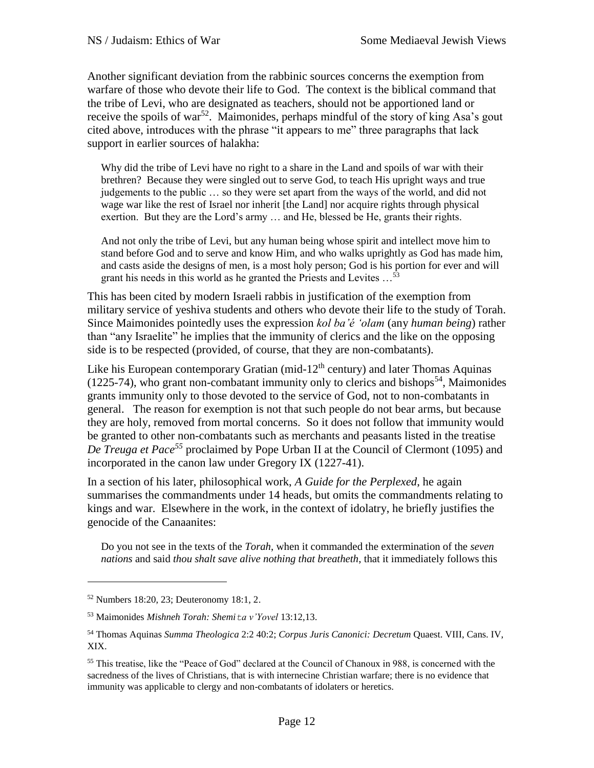Another significant deviation from the rabbinic sources concerns the exemption from warfare of those who devote their life to God. The context is the biblical command that the tribe of Levi, who are designated as teachers, should not be apportioned land or receive the spoils of war<sup>52</sup>. Maimonides, perhaps mindful of the story of king Asa's gout cited above, introduces with the phrase "it appears to me" three paragraphs that lack support in earlier sources of halakha:

Why did the tribe of Levi have no right to a share in the Land and spoils of war with their brethren? Because they were singled out to serve God, to teach His upright ways and true judgements to the public … so they were set apart from the ways of the world, and did not wage war like the rest of Israel nor inherit [the Land] nor acquire rights through physical exertion. But they are the Lord's army … and He, blessed be He, grants their rights.

And not only the tribe of Levi, but any human being whose spirit and intellect move him to stand before God and to serve and know Him, and who walks uprightly as God has made him, and casts aside the designs of men, is a most holy person; God is his portion for ever and will grant his needs in this world as he granted the Priests and Levites  $\ldots$ <sup>53</sup>

This has been cited by modern Israeli rabbis in justification of the exemption from military service of yeshiva students and others who devote their life to the study of Torah. Since Maimonides pointedly uses the expression *kol ba'é 'olam* (any *human being*) rather than "any Israelite" he implies that the immunity of clerics and the like on the opposing side is to be respected (provided, of course, that they are non-combatants).

Like his European contemporary Gratian (mid- $12<sup>th</sup>$  century) and later Thomas Aquinas  $(1225-74)$ , who grant non-combatant immunity only to clerics and bishops<sup>54</sup>, Maimonides grants immunity only to those devoted to the service of God, not to non-combatants in general. The reason for exemption is not that such people do not bear arms, but because they are holy, removed from mortal concerns. So it does not follow that immunity would be granted to other non-combatants such as merchants and peasants listed in the treatise *De Treuga et Pace<sup>55</sup>* proclaimed by Pope Urban II at the Council of Clermont (1095) and incorporated in the canon law under Gregory IX (1227-41).

In a section of his later, philosophical work, *A Guide for the Perplexed*, he again summarises the commandments under 14 heads, but omits the commandments relating to kings and war. Elsewhere in the work, in the context of idolatry, he briefly justifies the genocide of the Canaanites:

Do you not see in the texts of the *Torah*, when it commanded the extermination of the *seven nations* and said *thou shalt save alive nothing that breatheth*, that it immediately follows this

<sup>52</sup> Numbers 18:20, 23; Deuteronomy 18:1, 2.

<sup>53</sup> Maimonides *Mishneh Torah: Shemita v'Yovel* 13:12,13.

<sup>54</sup> Thomas Aquinas *Summa Theologica* 2:2 40:2; *Corpus Juris Canonici: Decretum* Quaest. VIII, Cans. IV, XIX.

<sup>&</sup>lt;sup>55</sup> This treatise, like the "Peace of God" declared at the Council of Chanoux in 988, is concerned with the sacredness of the lives of Christians, that is with internecine Christian warfare; there is no evidence that immunity was applicable to clergy and non-combatants of idolaters or heretics.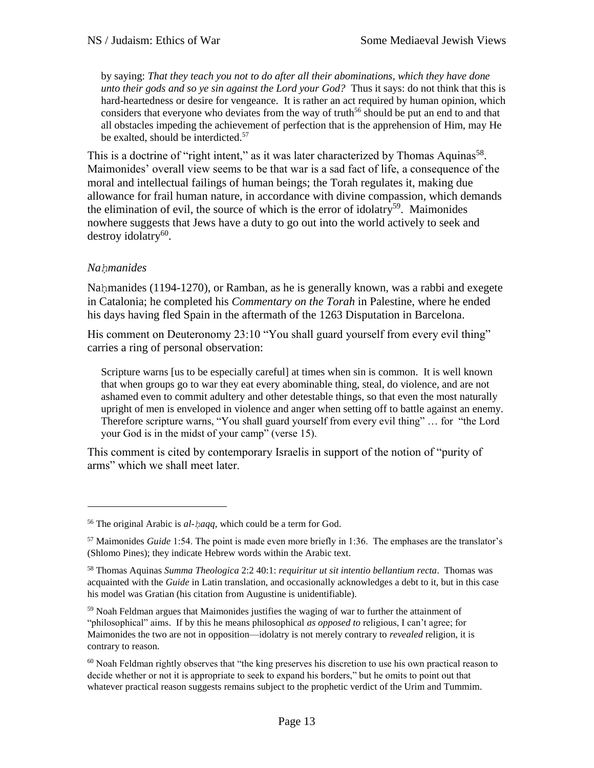by saying: *That they teach you not to do after all their abominations, which they have done unto their gods and so ye sin against the Lord your God?* Thus it says: do not think that this is hard-heartedness or desire for vengeance. It is rather an act required by human opinion, which considers that everyone who deviates from the way of truth<sup>56</sup> should be put an end to and that all obstacles impeding the achievement of perfection that is the apprehension of Him, may He be exalted, should be interdicted.<sup>57</sup>

This is a doctrine of "right intent," as it was later characterized by Thomas Aquinas<sup>58</sup>. Maimonides' overall view seems to be that war is a sad fact of life, a consequence of the moral and intellectual failings of human beings; the Torah regulates it, making due allowance for frail human nature, in accordance with divine compassion, which demands the elimination of evil, the source of which is the error of idolatry<sup>59</sup>. Maimonides nowhere suggests that Jews have a duty to go out into the world actively to seek and destroy idolatry<sup>60</sup>.

#### *Naḥmanides*

 $\overline{a}$ 

Naḥmanides (1194-1270), or Ramban, as he is generally known, was a rabbi and exegete in Catalonia; he completed his *Commentary on the Torah* in Palestine, where he ended his days having fled Spain in the aftermath of the 1263 Disputation in Barcelona.

His comment on Deuteronomy 23:10 "You shall guard yourself from every evil thing" carries a ring of personal observation:

Scripture warns [us to be especially careful] at times when sin is common. It is well known that when groups go to war they eat every abominable thing, steal, do violence, and are not ashamed even to commit adultery and other detestable things, so that even the most naturally upright of men is enveloped in violence and anger when setting off to battle against an enemy. Therefore scripture warns, "You shall guard yourself from every evil thing" … for "the Lord your God is in the midst of your camp" (verse 15).

This comment is cited by contemporary Israelis in support of the notion of "purity of arms" which we shall meet later.

 $59$  Noah Feldman argues that Maimonides justifies the waging of war to further the attainment of "philosophical" aims. If by this he means philosophical *as opposed to* religious, I can't agree; for Maimonides the two are not in opposition—idolatry is not merely contrary to *revealed* religion, it is contrary to reason.

 $60$  Noah Feldman rightly observes that "the king preserves his discretion to use his own practical reason to decide whether or not it is appropriate to seek to expand his borders," but he omits to point out that whatever practical reason suggests remains subject to the prophetic verdict of the Urim and Tummim.

<sup>56</sup> The original Arabic is *al-ḥaqq*, which could be a term for God.

<sup>57</sup> Maimonides *Guide* 1:54. The point is made even more briefly in 1:36. The emphases are the translator's (Shlomo Pines); they indicate Hebrew words within the Arabic text.

<sup>58</sup> Thomas Aquinas *Summa Theologica* 2:2 40:1: *requiritur ut sit intentio bellantium recta*. Thomas was acquainted with the *Guide* in Latin translation, and occasionally acknowledges a debt to it, but in this case his model was Gratian (his citation from Augustine is unidentifiable).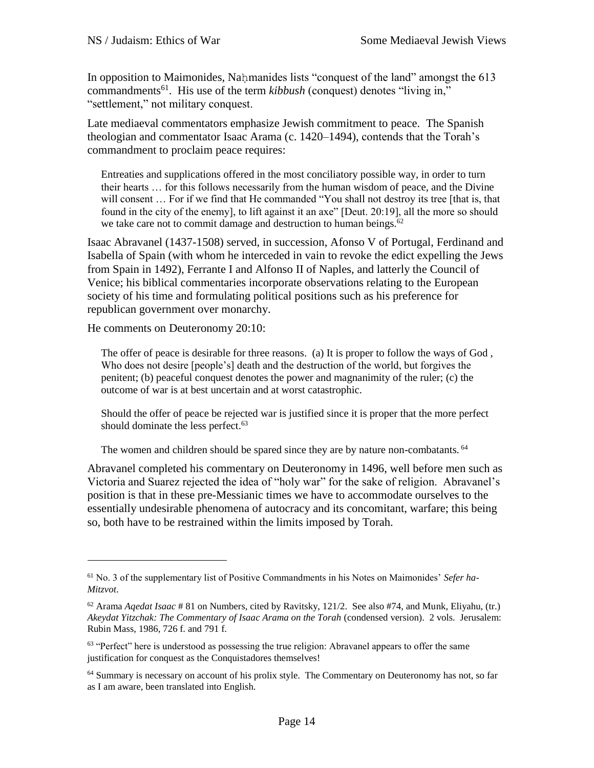In opposition to Maimonides, Nahmanides lists "conquest of the land" amongst the 613 commandments<sup>61</sup>. His use of the term *kibbush* (conquest) denotes "living in," "settlement," not military conquest.

Late mediaeval commentators emphasize Jewish commitment to peace. The Spanish theologian and commentator Isaac Arama (c. 1420–1494), contends that the Torah's commandment to proclaim peace requires:

Entreaties and supplications offered in the most conciliatory possible way, in order to turn their hearts … for this follows necessarily from the human wisdom of peace, and the Divine will consent ... For if we find that He commanded "You shall not destroy its tree [that is, that found in the city of the enemy], to lift against it an axe" [Deut. 20:19], all the more so should we take care not to commit damage and destruction to human beings.<sup>62</sup>

Isaac Abravanel (1437-1508) served, in succession, Afonso V of Portugal, Ferdinand and Isabella of Spain (with whom he interceded in vain to revoke the edict expelling the Jews from Spain in 1492), Ferrante I and Alfonso II of Naples, and latterly the Council of Venice; his biblical commentaries incorporate observations relating to the European society of his time and formulating political positions such as his preference for republican government over monarchy.

He comments on Deuteronomy 20:10:

 $\overline{a}$ 

The offer of peace is desirable for three reasons. (a) It is proper to follow the ways of God , Who does not desire [people's] death and the destruction of the world, but forgives the penitent; (b) peaceful conquest denotes the power and magnanimity of the ruler; (c) the outcome of war is at best uncertain and at worst catastrophic.

Should the offer of peace be rejected war is justified since it is proper that the more perfect should dominate the less perfect.<sup>63</sup>

The women and children should be spared since they are by nature non-combatants. <sup>64</sup>

Abravanel completed his commentary on Deuteronomy in 1496, well before men such as Victoria and Suarez rejected the idea of "holy war" for the sake of religion. Abravanel's position is that in these pre-Messianic times we have to accommodate ourselves to the essentially undesirable phenomena of autocracy and its concomitant, warfare; this being so, both have to be restrained within the limits imposed by Torah.

<sup>61</sup> No. 3 of the supplementary list of Positive Commandments in his Notes on Maimonides' *Sefer ha-Mitzvot*.

 $62$  Arama *Aqedat Isaac* # 81 on Numbers, cited by Ravitsky, 121/2. See also #74, and Munk, Eliyahu, (tr.) *Akeydat Yitzchak: The Commentary of Isaac Arama on the Torah* (condensed version). 2 vols. Jerusalem: Rubin Mass, 1986, 726 f. and 791 f.

<sup>&</sup>lt;sup>63</sup> "Perfect" here is understood as possessing the true religion: Abravanel appears to offer the same justification for conquest as the Conquistadores themselves!

<sup>&</sup>lt;sup>64</sup> Summary is necessary on account of his prolix style. The Commentary on Deuteronomy has not, so far as I am aware, been translated into English.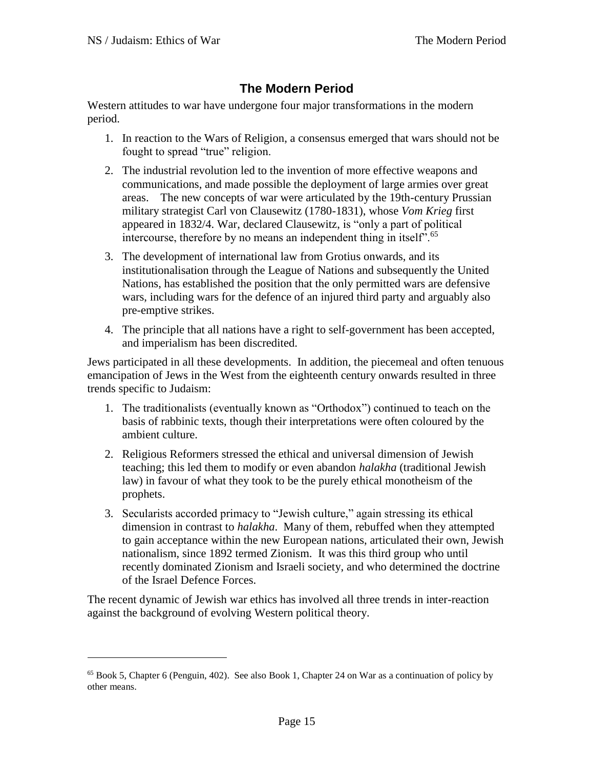$\overline{a}$ 

## **The Modern Period**

Western attitudes to war have undergone four major transformations in the modern period.

- 1. In reaction to the Wars of Religion, a consensus emerged that wars should not be fought to spread "true" religion.
- 2. The industrial revolution led to the invention of more effective weapons and communications, and made possible the deployment of large armies over great areas. The new concepts of war were articulated by the 19th-century Prussian military strategist Carl von Clausewitz (1780-1831), whose *Vom Krieg* first appeared in 1832/4. War, declared Clausewitz, is "only a part of political intercourse, therefore by no means an independent thing in itself".<sup>65</sup>
- 3. The development of international law from Grotius onwards, and its institutionalisation through the League of Nations and subsequently the United Nations, has established the position that the only permitted wars are defensive wars, including wars for the defence of an injured third party and arguably also pre-emptive strikes.
- 4. The principle that all nations have a right to self-government has been accepted, and imperialism has been discredited.

Jews participated in all these developments. In addition, the piecemeal and often tenuous emancipation of Jews in the West from the eighteenth century onwards resulted in three trends specific to Judaism:

- 1. The traditionalists (eventually known as "Orthodox") continued to teach on the basis of rabbinic texts, though their interpretations were often coloured by the ambient culture.
- 2. Religious Reformers stressed the ethical and universal dimension of Jewish teaching; this led them to modify or even abandon *halakha* (traditional Jewish law) in favour of what they took to be the purely ethical monotheism of the prophets.
- 3. Secularists accorded primacy to "Jewish culture," again stressing its ethical dimension in contrast to *halakha*. Many of them, rebuffed when they attempted to gain acceptance within the new European nations, articulated their own, Jewish nationalism, since 1892 termed Zionism. It was this third group who until recently dominated Zionism and Israeli society, and who determined the doctrine of the Israel Defence Forces.

The recent dynamic of Jewish war ethics has involved all three trends in inter-reaction against the background of evolving Western political theory.

<sup>65</sup> Book 5, Chapter 6 (Penguin, 402). See also Book 1, Chapter 24 on War as a continuation of policy by other means.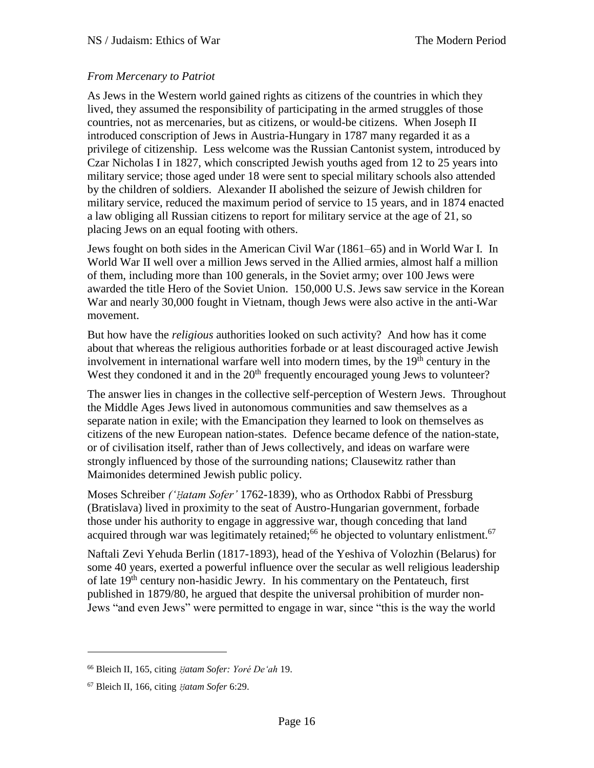#### *From Mercenary to Patriot*

As Jews in the Western world gained rights as citizens of the countries in which they lived, they assumed the responsibility of participating in the armed struggles of those countries, not as mercenaries, but as citizens, or would-be citizens. When Joseph II introduced conscription of Jews in Austria-Hungary in 1787 many regarded it as a privilege of citizenship. Less welcome was the Russian Cantonist system, introduced by Czar Nicholas I in 1827, which conscripted Jewish youths aged from 12 to 25 years into military service; those aged under 18 were sent to special military schools also attended by the children of soldiers. Alexander II abolished the seizure of Jewish children for military service, reduced the maximum period of service to 15 years, and in 1874 enacted a law obliging all Russian citizens to report for military service at the age of 21, so placing Jews on an equal footing with others.

Jews fought on both sides in the American Civil War (1861–65) and in World War I. In World War II well over a million Jews served in the Allied armies, almost half a million of them, including more than 100 generals, in the Soviet army; over 100 Jews were awarded the title Hero of the Soviet Union. 150,000 U.S. Jews saw service in the Korean War and nearly 30,000 fought in Vietnam, though Jews were also active in the anti-War movement.

But how have the *religious* authorities looked on such activity? And how has it come about that whereas the religious authorities forbade or at least discouraged active Jewish involvement in international warfare well into modern times, by the  $19<sup>th</sup>$  century in the West they condoned it and in the 20<sup>th</sup> frequently encouraged young Jews to volunteer?

The answer lies in changes in the collective self-perception of Western Jews. Throughout the Middle Ages Jews lived in autonomous communities and saw themselves as a separate nation in exile; with the Emancipation they learned to look on themselves as citizens of the new European nation-states. Defence became defence of the nation-state, or of civilisation itself, rather than of Jews collectively, and ideas on warfare were strongly influenced by those of the surrounding nations; Clausewitz rather than Maimonides determined Jewish public policy.

Moses Schreiber *('Ḥatam Sofer'* 1762-1839), who as Orthodox Rabbi of Pressburg (Bratislava) lived in proximity to the seat of Austro-Hungarian government, forbade those under his authority to engage in aggressive war, though conceding that land acquired through war was legitimately retained;<sup>66</sup> he objected to voluntary enlistment.<sup>67</sup>

Naftali Zevi Yehuda Berlin (1817-1893), head of the Yeshiva of Volozhin (Belarus) for some 40 years, exerted a powerful influence over the secular as well religious leadership of late  $19<sup>th</sup>$  century non-hasidic Jewry. In his commentary on the Pentateuch, first published in 1879/80, he argued that despite the universal prohibition of murder non-Jews "and even Jews" were permitted to engage in war, since "this is the way the world

<sup>66</sup> Bleich II, 165, citing *Ḥatam Sofer: Yoré De'ah* 19.

<sup>67</sup> Bleich II, 166, citing *Ḥatam Sofer* 6:29.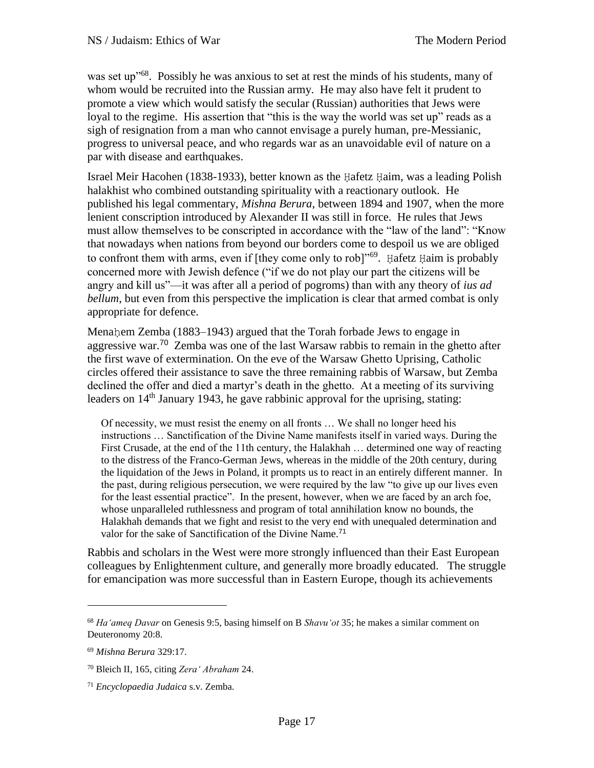was set up<sup>168</sup>. Possibly he was anxious to set at rest the minds of his students, many of whom would be recruited into the Russian army. He may also have felt it prudent to promote a view which would satisfy the secular (Russian) authorities that Jews were loyal to the regime. His assertion that "this is the way the world was set up" reads as a sigh of resignation from a man who cannot envisage a purely human, pre-Messianic, progress to universal peace, and who regards war as an unavoidable evil of nature on a par with disease and earthquakes.

Israel Meir Hacohen (1838-1933), better known as the Ḥafetz Ḥaim, was a leading Polish halakhist who combined outstanding spirituality with a reactionary outlook. He published his legal commentary, *Mishna Berura*, between 1894 and 1907, when the more lenient conscription introduced by Alexander II was still in force. He rules that Jews must allow themselves to be conscripted in accordance with the "law of the land": "Know that nowadays when nations from beyond our borders come to despoil us we are obliged to confront them with arms, even if [they come only to rob]"<sup>69</sup>. Hafetz Haim is probably concerned more with Jewish defence ("if we do not play our part the citizens will be angry and kill us"—it was after all a period of pogroms) than with any theory of *ius ad bellum*, but even from this perspective the implication is clear that armed combat is only appropriate for defence.

Menahem Zemba (1883–1943) argued that the Torah forbade Jews to engage in aggressive war.<sup>70</sup> Zemba was one of the last Warsaw rabbis to remain in the ghetto after the first wave of extermination. On the eve of the Warsaw Ghetto Uprising, Catholic circles offered their assistance to save the three remaining rabbis of Warsaw, but Zemba declined the offer and died a martyr's death in the ghetto. At a meeting of its surviving leaders on  $14<sup>th</sup>$  January 1943, he gave rabbinic approval for the uprising, stating:

Of necessity, we must resist the enemy on all fronts … We shall no longer heed his instructions … Sanctification of the Divine Name manifests itself in varied ways. During the First Crusade, at the end of the 11th century, the Halakhah … determined one way of reacting to the distress of the Franco-German Jews, whereas in the middle of the 20th century, during the liquidation of the Jews in Poland, it prompts us to react in an entirely different manner. In the past, during religious persecution, we were required by the law "to give up our lives even for the least essential practice". In the present, however, when we are faced by an arch foe, whose unparalleled ruthlessness and program of total annihilation know no bounds, the Halakhah demands that we fight and resist to the very end with unequaled determination and valor for the sake of Sanctification of the Divine Name.<sup>71</sup>

Rabbis and scholars in the West were more strongly influenced than their East European colleagues by Enlightenment culture, and generally more broadly educated. The struggle for emancipation was more successful than in Eastern Europe, though its achievements

<sup>68</sup> *Ha'ameq Davar* on Genesis 9:5, basing himself on B *Shavu'ot* 35; he makes a similar comment on Deuteronomy 20:8.

<sup>69</sup> *Mishna Berura* 329:17.

<sup>70</sup> Bleich II, 165, citing *Zera' Abraham* 24.

<sup>71</sup> *Encyclopaedia Judaica* s.v. Zemba.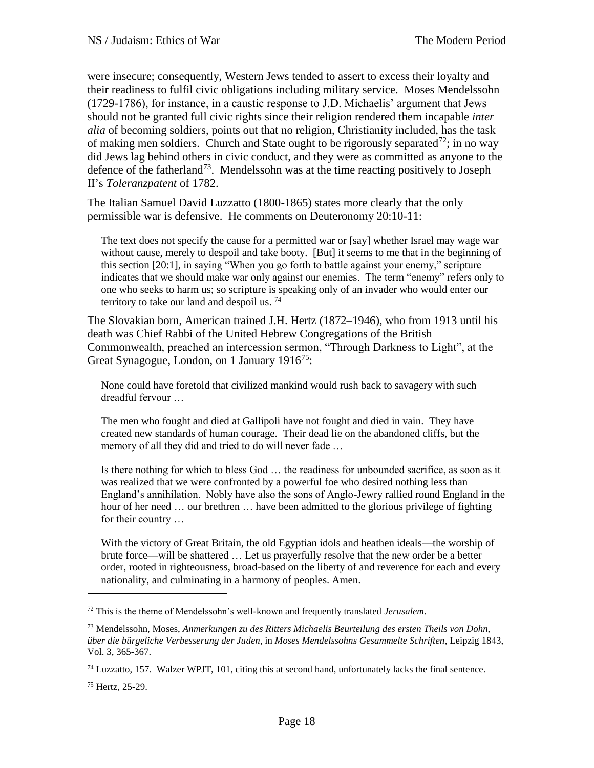were insecure; consequently, Western Jews tended to assert to excess their loyalty and their readiness to fulfil civic obligations including military service. Moses Mendelssohn (1729-1786), for instance, in a caustic response to J.D. Michaelis' argument that Jews should not be granted full civic rights since their religion rendered them incapable *inter alia* of becoming soldiers, points out that no religion, Christianity included, has the task of making men soldiers. Church and State ought to be rigorously separated<sup>72</sup>; in no way did Jews lag behind others in civic conduct, and they were as committed as anyone to the defence of the fatherland<sup>73</sup>. Mendelssohn was at the time reacting positively to Joseph II's *Toleranzpatent* of 1782.

The Italian Samuel David Luzzatto (1800-1865) states more clearly that the only permissible war is defensive. He comments on Deuteronomy 20:10-11:

The text does not specify the cause for a permitted war or [say] whether Israel may wage war without cause, merely to despoil and take booty. [But] it seems to me that in the beginning of this section [20:1], in saying "When you go forth to battle against your enemy," scripture indicates that we should make war only against our enemies. The term "enemy" refers only to one who seeks to harm us; so scripture is speaking only of an invader who would enter our territory to take our land and despoil us.  $74$ 

The Slovakian born, American trained J.H. Hertz (1872–1946), who from 1913 until his death was Chief Rabbi of the United Hebrew Congregations of the British Commonwealth, preached an intercession sermon, "Through Darkness to Light", at the Great Synagogue, London, on 1 January 1916<sup>75</sup>:

None could have foretold that civilized mankind would rush back to savagery with such dreadful fervour …

The men who fought and died at Gallipoli have not fought and died in vain. They have created new standards of human courage. Their dead lie on the abandoned cliffs, but the memory of all they did and tried to do will never fade …

Is there nothing for which to bless God … the readiness for unbounded sacrifice, as soon as it was realized that we were confronted by a powerful foe who desired nothing less than England's annihilation. Nobly have also the sons of Anglo-Jewry rallied round England in the hour of her need ... our brethren ... have been admitted to the glorious privilege of fighting for their country …

With the victory of Great Britain, the old Egyptian idols and heathen ideals—the worship of brute force—will be shattered … Let us prayerfully resolve that the new order be a better order, rooted in righteousness, broad-based on the liberty of and reverence for each and every nationality, and culminating in a harmony of peoples. Amen.

<sup>72</sup> This is the theme of Mendelssohn's well-known and frequently translated *Jerusalem*.

<sup>73</sup> Mendelssohn, Moses, *Anmerkungen zu des Ritters Michaelis Beurteilung des ersten Theils von Dohn, über die bürgeliche Verbesserung der Juden*, in *Moses Mendelssohns Gesammelte Schriften*, Leipzig 1843, Vol. 3, 365-367.

<sup>74</sup> Luzzatto, 157. Walzer WPJT, 101, citing this at second hand, unfortunately lacks the final sentence.

<sup>75</sup> Hertz, 25-29.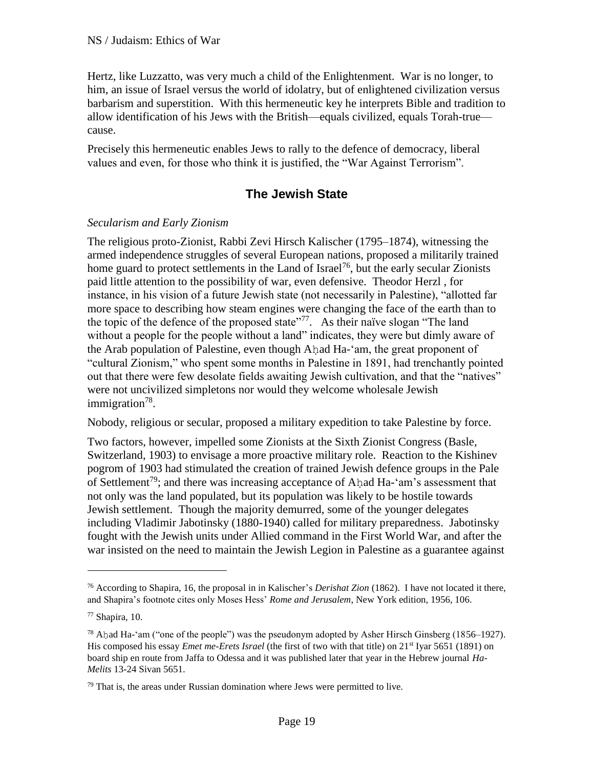Hertz, like Luzzatto, was very much a child of the Enlightenment. War is no longer, to him, an issue of Israel versus the world of idolatry, but of enlightened civilization versus barbarism and superstition. With this hermeneutic key he interprets Bible and tradition to allow identification of his Jews with the British—equals civilized, equals Torah-true cause.

Precisely this hermeneutic enables Jews to rally to the defence of democracy, liberal values and even, for those who think it is justified, the "War Against Terrorism".

## **The Jewish State**

#### *Secularism and Early Zionism*

The religious proto-Zionist, Rabbi Zevi Hirsch Kalischer (1795–1874), witnessing the armed independence struggles of several European nations, proposed a militarily trained home guard to protect settlements in the Land of Israel<sup>76</sup>, but the early secular Zionists paid little attention to the possibility of war, even defensive. Theodor Herzl , for instance, in his vision of a future Jewish state (not necessarily in Palestine), "allotted far more space to describing how steam engines were changing the face of the earth than to the topic of the defence of the proposed state<sup> $27$ </sup>. As their naïve slogan "The land" without a people for the people without a land" indicates, they were but dimly aware of the Arab population of Palestine, even though Aḥad Ha-'am, the great proponent of "cultural Zionism," who spent some months in Palestine in 1891, had trenchantly pointed out that there were few desolate fields awaiting Jewish cultivation, and that the "natives" were not uncivilized simpletons nor would they welcome wholesale Jewish immigration $78$ .

Nobody, religious or secular, proposed a military expedition to take Palestine by force.

Two factors, however, impelled some Zionists at the Sixth Zionist Congress (Basle, Switzerland, 1903) to envisage a more proactive military role. Reaction to the Kishinev pogrom of 1903 had stimulated the creation of trained Jewish defence groups in the Pale of Settlement<sup>79</sup>; and there was increasing acceptance of Ahad Ha-'am's assessment that not only was the land populated, but its population was likely to be hostile towards Jewish settlement. Though the majority demurred, some of the younger delegates including Vladimir Jabotinsky (1880-1940) called for military preparedness. Jabotinsky fought with the Jewish units under Allied command in the First World War, and after the war insisted on the need to maintain the Jewish Legion in Palestine as a guarantee against

<sup>76</sup> According to Shapira, 16, the proposal in in Kalischer's *Derishat Zion* (1862). I have not located it there, and Shapira's footnote cites only Moses Hess' *Rome and Jerusalem*, New York edition, 1956, 106.

 $77$  Shapira, 10.

<sup>&</sup>lt;sup>78</sup> Ahad Ha-'am ("one of the people") was the pseudonym adopted by Asher Hirsch Ginsberg (1856–1927). His composed his essay *Emet me-Erets Israel* (the first of two with that title) on 21<sup>st</sup> Iyar 5651 (1891) on board ship en route from Jaffa to Odessa and it was published later that year in the Hebrew journal *Ha-Melits* 13-24 Sivan 5651.

 $79$  That is, the areas under Russian domination where Jews were permitted to live.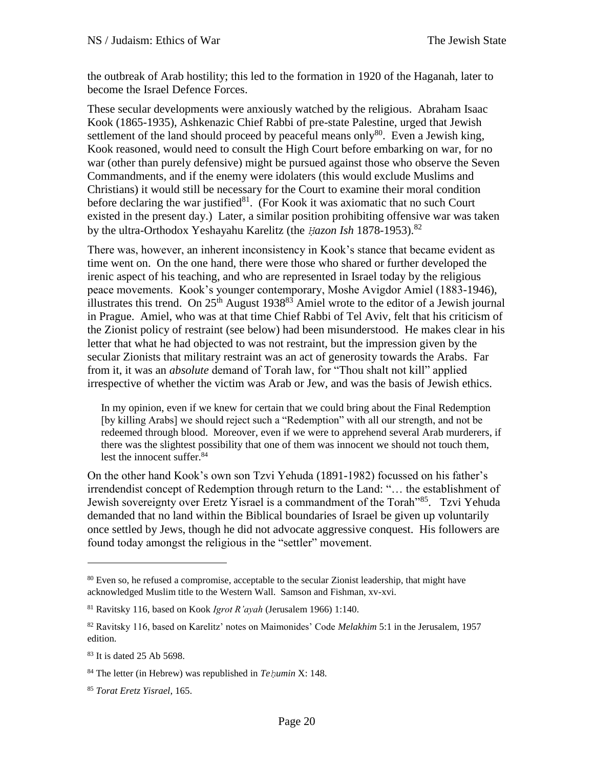the outbreak of Arab hostility; this led to the formation in 1920 of the Haganah, later to become the Israel Defence Forces.

These secular developments were anxiously watched by the religious. Abraham Isaac Kook (1865-1935), Ashkenazic Chief Rabbi of pre-state Palestine, urged that Jewish settlement of the land should proceed by peaceful means only<sup>80</sup>. Even a Jewish king, Kook reasoned, would need to consult the High Court before embarking on war, for no war (other than purely defensive) might be pursued against those who observe the Seven Commandments, and if the enemy were idolaters (this would exclude Muslims and Christians) it would still be necessary for the Court to examine their moral condition before declaring the war justified $81$ . (For Kook it was axiomatic that no such Court existed in the present day.) Later, a similar position prohibiting offensive war was taken by the ultra-Orthodox Yeshayahu Karelitz (the *Hazon Ish* 1878-1953).<sup>82</sup>

There was, however, an inherent inconsistency in Kook's stance that became evident as time went on. On the one hand, there were those who shared or further developed the irenic aspect of his teaching, and who are represented in Israel today by the religious peace movements. Kook's younger contemporary, Moshe Avigdor Amiel (1883-1946), illustrates this trend. On  $25<sup>th</sup>$  August 1938<sup>83</sup> Amiel wrote to the editor of a Jewish journal in Prague. Amiel, who was at that time Chief Rabbi of Tel Aviv, felt that his criticism of the Zionist policy of restraint (see below) had been misunderstood. He makes clear in his letter that what he had objected to was not restraint, but the impression given by the secular Zionists that military restraint was an act of generosity towards the Arabs. Far from it, it was an *absolute* demand of Torah law, for "Thou shalt not kill" applied irrespective of whether the victim was Arab or Jew, and was the basis of Jewish ethics.

In my opinion, even if we knew for certain that we could bring about the Final Redemption [by killing Arabs] we should reject such a "Redemption" with all our strength, and not be redeemed through blood. Moreover, even if we were to apprehend several Arab murderers, if there was the slightest possibility that one of them was innocent we should not touch them, lest the innocent suffer.<sup>84</sup>

On the other hand Kook's own son Tzvi Yehuda (1891-1982) focussed on his father's irrendendist concept of Redemption through return to the Land: "… the establishment of Jewish sovereignty over Eretz Yisrael is a commandment of the Torah<sup>785</sup>. Tzvi Yehuda demanded that no land within the Biblical boundaries of Israel be given up voluntarily once settled by Jews, though he did not advocate aggressive conquest. His followers are found today amongst the religious in the "settler" movement.

<sup>&</sup>lt;sup>80</sup> Even so, he refused a compromise, acceptable to the secular Zionist leadership, that might have acknowledged Muslim title to the Western Wall. Samson and Fishman, xv-xvi.

<sup>81</sup> Ravitsky 116, based on Kook *Igrot R'ayah* (Jerusalem 1966) 1:140.

<sup>82</sup> Ravitsky 116, based on Karelitz' notes on Maimonides' Code *Melakhim* 5:1 in the Jerusalem, 1957 edition.

<sup>83</sup> It is dated 25 Ab 5698.

<sup>84</sup> The letter (in Hebrew) was republished in *Teḥumin* X: 148.

<sup>85</sup> *Torat Eretz Yisrael*, 165.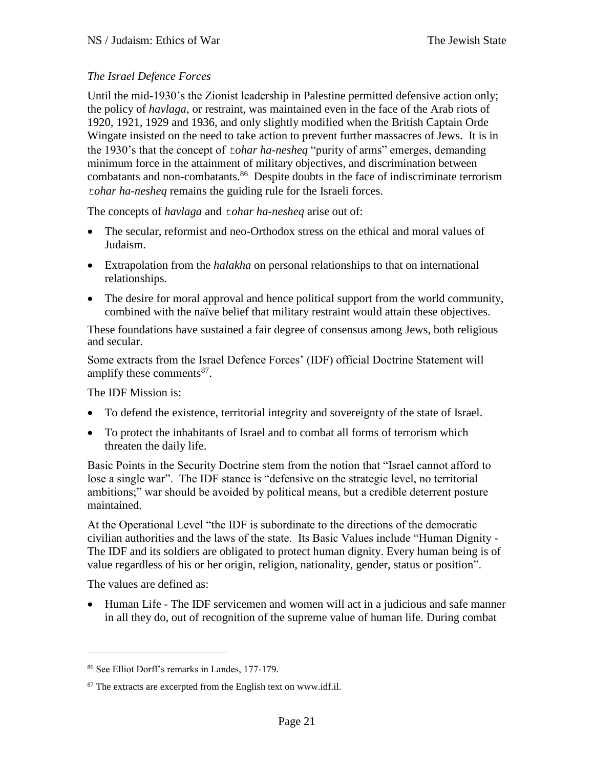#### *The Israel Defence Forces*

Until the mid-1930's the Zionist leadership in Palestine permitted defensive action only; the policy of *havlaga*, or restraint, was maintained even in the face of the Arab riots of 1920, 1921, 1929 and 1936, and only slightly modified when the British Captain Orde Wingate insisted on the need to take action to prevent further massacres of Jews. It is in the 1930's that the concept of *tohar ha-nesheq* "purity of arms" emerges, demanding minimum force in the attainment of military objectives, and discrimination between combatants and non-combatants.<sup>86</sup> Despite doubts in the face of indiscriminate terrorism *tohar ha-nesheq* remains the guiding rule for the Israeli forces.

The concepts of *havlaga* and *tohar ha-nesheq* arise out of:

- The secular, reformist and neo-Orthodox stress on the ethical and moral values of Judaism.
- Extrapolation from the *halakha* on personal relationships to that on international relationships.
- The desire for moral approval and hence political support from the world community, combined with the naïve belief that military restraint would attain these objectives.

These foundations have sustained a fair degree of consensus among Jews, both religious and secular.

Some extracts from the Israel Defence Forces' (IDF) official Doctrine Statement will amplify these comments $^{87}$ .

The IDF Mission is:

- To defend the existence, territorial integrity and sovereignty of the state of Israel.
- To protect the inhabitants of Israel and to combat all forms of terrorism which threaten the daily life.

Basic Points in the Security Doctrine stem from the notion that "Israel cannot afford to lose a single war". The IDF stance is "defensive on the strategic level, no territorial ambitions;" war should be avoided by political means, but a credible deterrent posture maintained.

At the Operational Level "the IDF is subordinate to the directions of the democratic civilian authorities and the laws of the state. Its Basic Values include "Human Dignity - The IDF and its soldiers are obligated to protect human dignity. Every human being is of value regardless of his or her origin, religion, nationality, gender, status or position".

The values are defined as:

 $\overline{a}$ 

 Human Life - The IDF servicemen and women will act in a judicious and safe manner in all they do, out of recognition of the supreme value of human life. During combat

<sup>86</sup> See Elliot Dorff's remarks in Landes, 177-179.

<sup>87</sup> The extracts are excerpted from the English text on www.idf.il.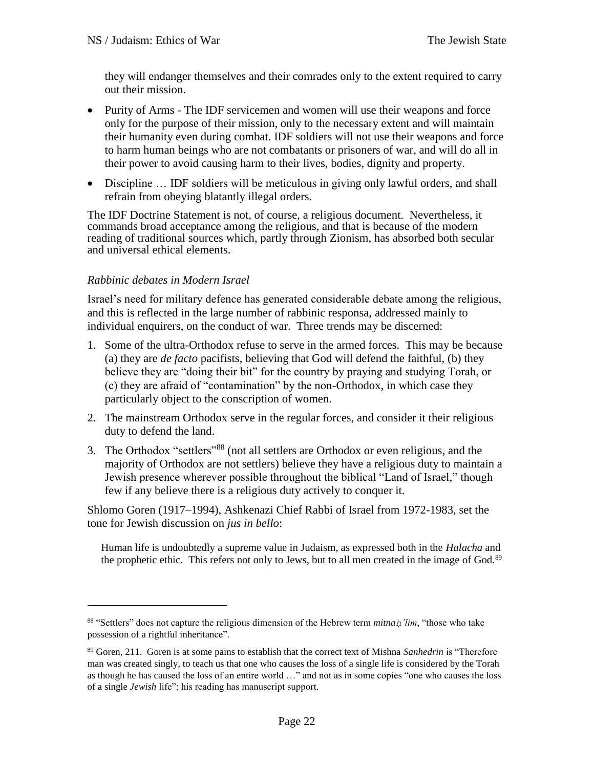they will endanger themselves and their comrades only to the extent required to carry out their mission.

- Purity of Arms The IDF servicemen and women will use their weapons and force only for the purpose of their mission, only to the necessary extent and will maintain their humanity even during combat. IDF soldiers will not use their weapons and force to harm human beings who are not combatants or prisoners of war, and will do all in their power to avoid causing harm to their lives, bodies, dignity and property.
- Discipline ... IDF soldiers will be meticulous in giving only lawful orders, and shall refrain from obeying blatantly illegal orders.

The IDF Doctrine Statement is not, of course, a religious document. Nevertheless, it commands broad acceptance among the religious, and that is because of the modern reading of traditional sources which, partly through Zionism, has absorbed both secular and universal ethical elements.

#### *Rabbinic debates in Modern Israel*

 $\overline{a}$ 

Israel's need for military defence has generated considerable debate among the religious, and this is reflected in the large number of rabbinic responsa, addressed mainly to individual enquirers, on the conduct of war. Three trends may be discerned:

- 1. Some of the ultra-Orthodox refuse to serve in the armed forces. This may be because (a) they are *de facto* pacifists, believing that God will defend the faithful, (b) they believe they are "doing their bit" for the country by praying and studying Torah, or (c) they are afraid of "contamination" by the non-Orthodox, in which case they particularly object to the conscription of women.
- 2. The mainstream Orthodox serve in the regular forces, and consider it their religious duty to defend the land.
- 3. The Orthodox "settlers"<sup>88</sup> (not all settlers are Orthodox or even religious, and the majority of Orthodox are not settlers) believe they have a religious duty to maintain a Jewish presence wherever possible throughout the biblical "Land of Israel," though few if any believe there is a religious duty actively to conquer it.

Shlomo Goren (1917–1994), Ashkenazi Chief Rabbi of Israel from 1972-1983, set the tone for Jewish discussion on *jus in bello*:

Human life is undoubtedly a supreme value in Judaism, as expressed both in the *Halacha* and the prophetic ethic. This refers not only to Jews, but to all men created in the image of God.<sup>89</sup>

<sup>88</sup> "Settlers" does not capture the religious dimension of the Hebrew term *mitnaḥ'lim*, "those who take possession of a rightful inheritance".

<sup>89</sup> Goren, 211. Goren is at some pains to establish that the correct text of Mishna *Sanhedrin* is "Therefore man was created singly, to teach us that one who causes the loss of a single life is considered by the Torah as though he has caused the loss of an entire world …" and not as in some copies "one who causes the loss of a single *Jewish* life"; his reading has manuscript support.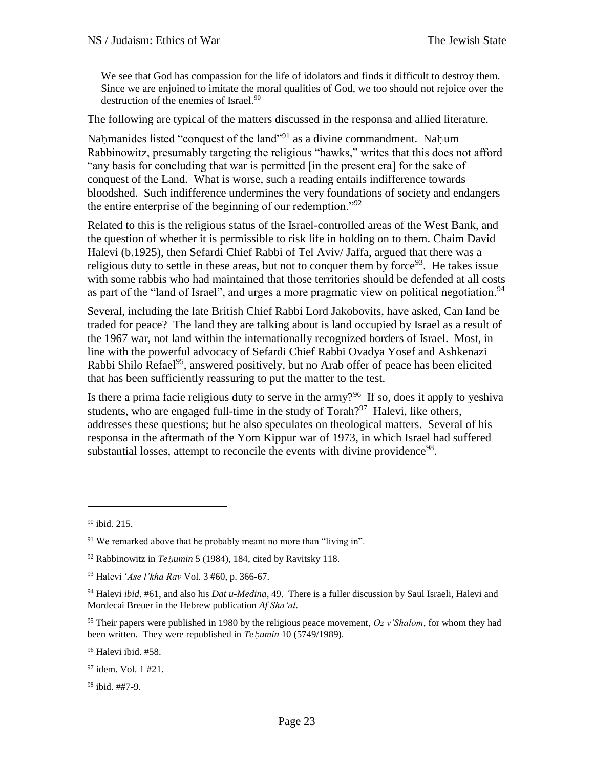We see that God has compassion for the life of idolators and finds it difficult to destroy them. Since we are enjoined to imitate the moral qualities of God, we too should not rejoice over the destruction of the enemies of Israel.<sup>90</sup>

The following are typical of the matters discussed in the responsa and allied literature.

Nahmanides listed "conquest of the land"<sup>91</sup> as a divine commandment. Nahum Rabbinowitz, presumably targeting the religious "hawks," writes that this does not afford "any basis for concluding that war is permitted [in the present era] for the sake of conquest of the Land. What is worse, such a reading entails indifference towards bloodshed. Such indifference undermines the very foundations of society and endangers the entire enterprise of the beginning of our redemption.<sup>"92</sup>

Related to this is the religious status of the Israel-controlled areas of the West Bank, and the question of whether it is permissible to risk life in holding on to them. Chaim David Halevi (b.1925), then Sefardi Chief Rabbi of Tel Aviv/ Jaffa, argued that there was a religious duty to settle in these areas, but not to conquer them by force  $93$ . He takes issue with some rabbis who had maintained that those territories should be defended at all costs as part of the "land of Israel", and urges a more pragmatic view on political negotiation.<sup>94</sup>

Several, including the late British Chief Rabbi Lord Jakobovits, have asked, Can land be traded for peace? The land they are talking about is land occupied by Israel as a result of the 1967 war, not land within the internationally recognized borders of Israel. Most, in line with the powerful advocacy of Sefardi Chief Rabbi Ovadya Yosef and Ashkenazi Rabbi Shilo Refael<sup>95</sup>, answered positively, but no Arab offer of peace has been elicited that has been sufficiently reassuring to put the matter to the test.

Is there a prima facie religious duty to serve in the army?<sup>96</sup> If so, does it apply to yeshiva students, who are engaged full-time in the study of  $Torah?$ <sup>97</sup> Halevi, like others, addresses these questions; but he also speculates on theological matters. Several of his responsa in the aftermath of the Yom Kippur war of 1973, in which Israel had suffered substantial losses, attempt to reconcile the events with divine providence<sup>98</sup>.

 $\overline{a}$ 

<sup>96</sup> Halevi ibid. #58.

<sup>97</sup> idem. Vol. 1 #21.

<sup>98</sup> ibid. ##7-9.

<sup>90</sup> ibid. 215.

 $91$  We remarked above that he probably meant no more than "living in".

<sup>92</sup> Rabbinowitz in *Teḥumin* 5 (1984), 184, cited by Ravitsky 118.

<sup>93</sup> Halevi '*Ase l'kha Rav* Vol. 3 #60, p. 366-67.

<sup>94</sup> Halevi *ibid*. #61, and also his *Dat u-Medina*, 49. There is a fuller discussion by Saul Israeli, Halevi and Mordecai Breuer in the Hebrew publication *Af Sha'al*.

<sup>95</sup> Their papers were published in 1980 by the religious peace movement, *Oz v'Shalom*, for whom they had been written. They were republished in *Teḥumin* 10 (5749/1989).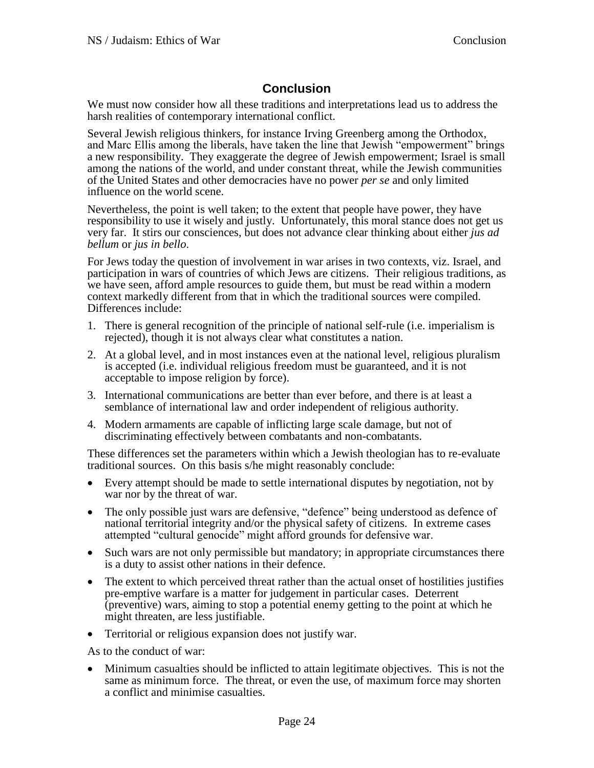## **Conclusion**

We must now consider how all these traditions and interpretations lead us to address the harsh realities of contemporary international conflict.

Several Jewish religious thinkers, for instance Irving Greenberg among the Orthodox, and Marc Ellis among the liberals, have taken the line that Jewish "empowerment" brings a new responsibility. They exaggerate the degree of Jewish empowerment; Israel is small among the nations of the world, and under constant threat, while the Jewish communities of the United States and other democracies have no power *per se* and only limited influence on the world scene.

Nevertheless, the point is well taken; to the extent that people have power, they have responsibility to use it wisely and justly. Unfortunately, this moral stance does not get us very far. It stirs our consciences, but does not advance clear thinking about either *jus ad bellum* or *jus in bello*.

For Jews today the question of involvement in war arises in two contexts, viz. Israel, and participation in wars of countries of which Jews are citizens. Their religious traditions, as we have seen, afford ample resources to guide them, but must be read within a modern context markedly different from that in which the traditional sources were compiled. Differences include:

- 1. There is general recognition of the principle of national self-rule (i.e. imperialism is rejected), though it is not always clear what constitutes a nation.
- 2. At a global level, and in most instances even at the national level, religious pluralism is accepted (i.e. individual religious freedom must be guaranteed, and it is not acceptable to impose religion by force).
- 3. International communications are better than ever before, and there is at least a semblance of international law and order independent of religious authority.
- 4. Modern armaments are capable of inflicting large scale damage, but not of discriminating effectively between combatants and non-combatants.

These differences set the parameters within which a Jewish theologian has to re-evaluate traditional sources. On this basis s/he might reasonably conclude:

- Every attempt should be made to settle international disputes by negotiation, not by war nor by the threat of war.
- The only possible just wars are defensive, "defence" being understood as defence of national territorial integrity and/or the physical safety of citizens. In extreme cases attempted "cultural genocide" might afford grounds for defensive war.
- Such wars are not only permissible but mandatory; in appropriate circumstances there is a duty to assist other nations in their defence.
- The extent to which perceived threat rather than the actual onset of hostilities justifies pre-emptive warfare is a matter for judgement in particular cases. Deterrent (preventive) wars, aiming to stop a potential enemy getting to the point at which he might threaten, are less justifiable.
- Territorial or religious expansion does not justify war.

As to the conduct of war:

 Minimum casualties should be inflicted to attain legitimate objectives. This is not the same as minimum force. The threat, or even the use, of maximum force may shorten a conflict and minimise casualties.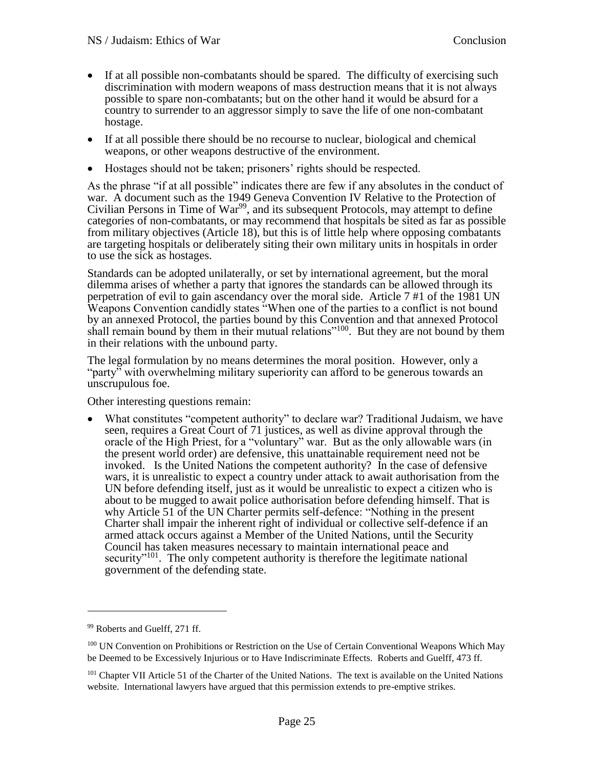- If at all possible non-combatants should be spared. The difficulty of exercising such discrimination with modern weapons of mass destruction means that it is not always possible to spare non-combatants; but on the other hand it would be absurd for a country to surrender to an aggressor simply to save the life of one non-combatant hostage.
- If at all possible there should be no recourse to nuclear, biological and chemical weapons, or other weapons destructive of the environment.
- Hostages should not be taken; prisoners' rights should be respected.

As the phrase "if at all possible" indicates there are few if any absolutes in the conduct of war. A document such as the 1949 Geneva Convention IV Relative to the Protection of Civilian Persons in Time of  $\text{War}^{99}$ , and its subsequent Protocols, may attempt to define categories of non-combatants, or may recommend that hospitals be sited as far as possible from military objectives (Article 18), but this is of little help where opposing combatants are targeting hospitals or deliberately siting their own military units in hospitals in order to use the sick as hostages.

Standards can be adopted unilaterally, or set by international agreement, but the moral dilemma arises of whether a party that ignores the standards can be allowed through its perpetration of evil to gain ascendancy over the moral side. Article 7 #1 of the 1981 UN Weapons Convention candidly states "When one of the parties to a conflict is not bound by an annexed Protocol, the parties bound by this Convention and that annexed Protocol shall remain bound by them in their mutual relations"<sup>100</sup>. But they are not bound by them in their relations with the unbound party.

The legal formulation by no means determines the moral position. However, only a "party" with overwhelming military superiority can afford to be generous towards an unscrupulous foe.

Other interesting questions remain:

 What constitutes "competent authority" to declare war? Traditional Judaism, we have seen, requires a Great Court of 71 justices, as well as divine approval through the oracle of the High Priest, for a "voluntary" war. But as the only allowable wars (in the present world order) are defensive, this unattainable requirement need not be invoked. Is the United Nations the competent authority? In the case of defensive wars, it is unrealistic to expect a country under attack to await authorisation from the UN before defending itself, just as it would be unrealistic to expect a citizen who is about to be mugged to await police authorisation before defending himself. That is why Article 51 of the UN Charter permits self-defence: "Nothing in the present Charter shall impair the inherent right of individual or collective self-defence if an armed attack occurs against a Member of the United Nations, until the Security Council has taken measures necessary to maintain international peace and security"<sup>101</sup>. The only competent authority is therefore the legitimate national government of the defending state.

<sup>99</sup> Roberts and Guelff, 271 ff.

<sup>&</sup>lt;sup>100</sup> UN Convention on Prohibitions or Restriction on the Use of Certain Conventional Weapons Which May be Deemed to be Excessively Injurious or to Have Indiscriminate Effects. Roberts and Guelff, 473 ff.

<sup>101</sup> Chapter VII Article 51 of the Charter of the United Nations. The text is available on the United Nations website. International lawyers have argued that this permission extends to pre-emptive strikes.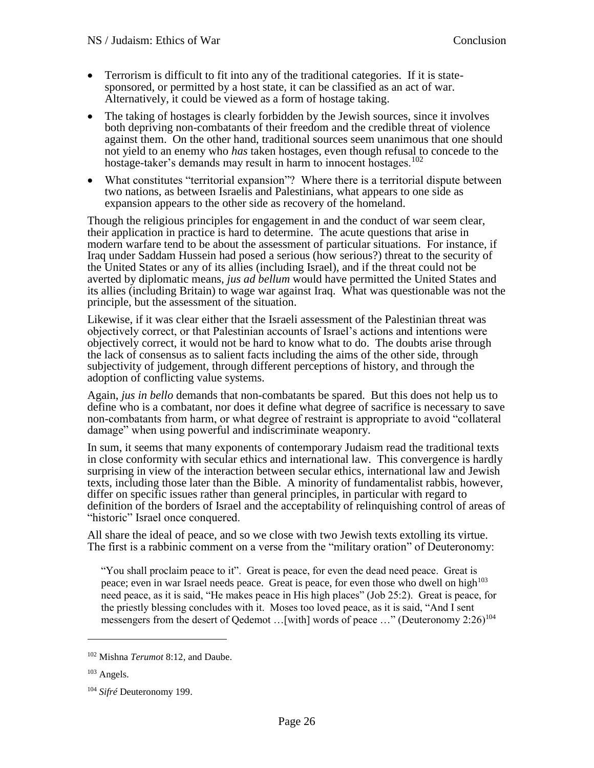- Terrorism is difficult to fit into any of the traditional categories. If it is statesponsored, or permitted by a host state, it can be classified as an act of war. Alternatively, it could be viewed as a form of hostage taking.
- The taking of hostages is clearly forbidden by the Jewish sources, since it involves both depriving non-combatants of their freedom and the credible threat of violence against them. On the other hand, traditional sources seem unanimous that one should not yield to an enemy who *has* taken hostages, even though refusal to concede to the hostage-taker's demands may result in harm to innocent hostages.<sup>102</sup>
- What constitutes "territorial expansion"? Where there is a territorial dispute between two nations, as between Israelis and Palestinians, what appears to one side as expansion appears to the other side as recovery of the homeland.

Though the religious principles for engagement in and the conduct of war seem clear, their application in practice is hard to determine. The acute questions that arise in modern warfare tend to be about the assessment of particular situations. For instance, if Iraq under Saddam Hussein had posed a serious (how serious?) threat to the security of the United States or any of its allies (including Israel), and if the threat could not be averted by diplomatic means, *jus ad bellum* would have permitted the United States and its allies (including Britain) to wage war against Iraq. What was questionable was not the principle, but the assessment of the situation.

Likewise, if it was clear either that the Israeli assessment of the Palestinian threat was objectively correct, or that Palestinian accounts of Israel's actions and intentions were objectively correct, it would not be hard to know what to do. The doubts arise through the lack of consensus as to salient facts including the aims of the other side, through subjectivity of judgement, through different perceptions of history, and through the adoption of conflicting value systems.

Again, *jus in bello* demands that non-combatants be spared. But this does not help us to define who is a combatant, nor does it define what degree of sacrifice is necessary to save non-combatants from harm, or what degree of restraint is appropriate to avoid "collateral damage" when using powerful and indiscriminate weaponry.

In sum, it seems that many exponents of contemporary Judaism read the traditional texts in close conformity with secular ethics and international law. This convergence is hardly surprising in view of the interaction between secular ethics, international law and Jewish texts, including those later than the Bible. A minority of fundamentalist rabbis, however, differ on specific issues rather than general principles, in particular with regard to definition of the borders of Israel and the acceptability of relinquishing control of areas of "historic" Israel once conquered.

All share the ideal of peace, and so we close with two Jewish texts extolling its virtue. The first is a rabbinic comment on a verse from the "military oration" of Deuteronomy:

"You shall proclaim peace to it". Great is peace, for even the dead need peace. Great is peace; even in war Israel needs peace. Great is peace, for even those who dwell on high<sup>103</sup> need peace, as it is said, "He makes peace in His high places" (Job 25:2). Great is peace, for the priestly blessing concludes with it. Moses too loved peace, as it is said, "And I sent messengers from the desert of Qedemot …[with] words of peace ..." (Deuteronomy  $2:26$ )<sup>104</sup>

<sup>102</sup> Mishna *Terumot* 8:12, and Daube.

<sup>103</sup> Angels.

<sup>104</sup> *Sifré* Deuteronomy 199.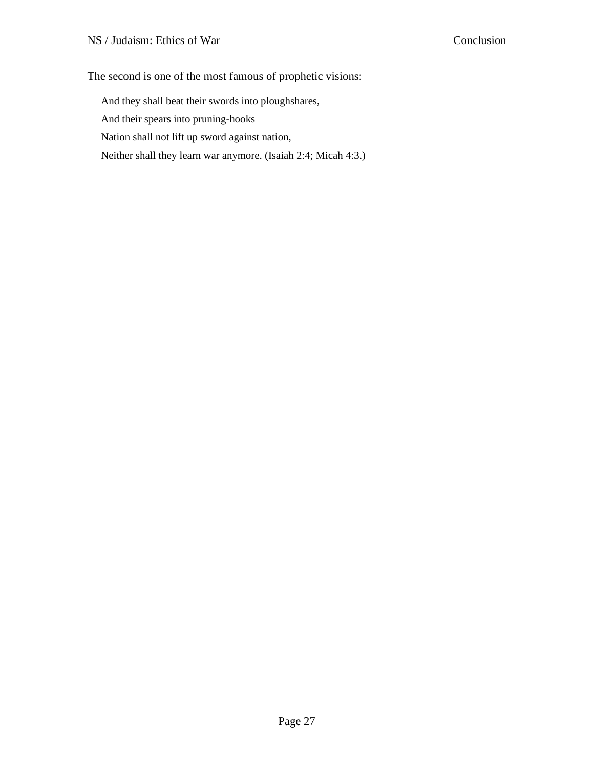The second is one of the most famous of prophetic visions:

And they shall beat their swords into ploughshares,

And their spears into pruning-hooks

Nation shall not lift up sword against nation,

Neither shall they learn war anymore. (Isaiah 2:4; Micah 4:3.)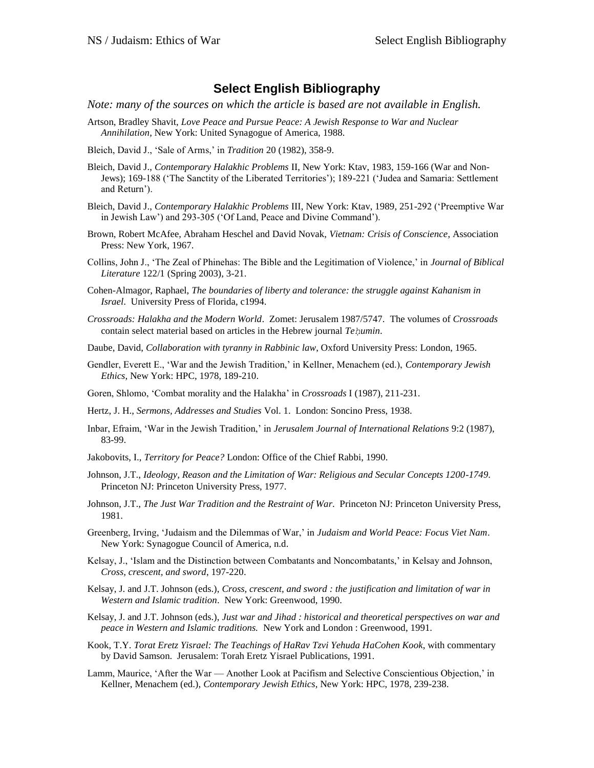#### **Select English Bibliography**

- *Note: many of the sources on which the article is based are not available in English.*
- Artson, Bradley Shavit, *Love Peace and Pursue Peace: A Jewish Response to War and Nuclear Annihilation*, New York: United Synagogue of America, 1988.
- Bleich, David J., 'Sale of Arms,' in *Tradition* 20 (1982), 358-9.
- Bleich, David J., *Contemporary Halakhic Problems* II, New York: Ktav, 1983, 159-166 (War and Non-Jews); 169-188 ('The Sanctity of the Liberated Territories'); 189-221 ('Judea and Samaria: Settlement and Return').
- Bleich, David J., *Contemporary Halakhic Problems* III, New York: Ktav, 1989, 251-292 ('Preemptive War in Jewish Law') and 293-305 ('Of Land, Peace and Divine Command').
- Brown, Robert McAfee, Abraham Heschel and David Novak, *Vietnam: Crisis of Conscience*, Association Press: New York, 1967.
- Collins, John J., 'The Zeal of Phinehas: The Bible and the Legitimation of Violence,' in *Journal of Biblical Literature* 122/1 (Spring 2003), 3-21.
- Cohen-Almagor, Raphael, *The boundaries of liberty and tolerance: the struggle against Kahanism in Israel*. University Press of Florida, c1994.
- *Crossroads: Halakha and the Modern World*. Zomet: Jerusalem 1987/5747. The volumes of *Crossroads* contain select material based on articles in the Hebrew journal *Teḥumin*.
- Daube, David, *Collaboration with tyranny in Rabbinic law*, Oxford University Press: London, 1965.
- Gendler, Everett E., 'War and the Jewish Tradition,' in Kellner, Menachem (ed.), *Contemporary Jewish Ethics*, New York: HPC, 1978, 189-210.
- Goren, Shlomo, 'Combat morality and the Halakha' in *Crossroads* I (1987), 211-231.
- Hertz, J. H., *Sermons, Addresses and Studies* Vol. 1. London: Soncino Press, 1938.
- Inbar, Efraim, 'War in the Jewish Tradition,' in *Jerusalem Journal of International Relations* 9:2 (1987), 83-99.
- Jakobovits, I., *Territory for Peace?* London: Office of the Chief Rabbi, 1990.
- Johnson, J.T., *Ideology, Reason and the Limitation of War: Religious and Secular Concepts 1200-1749*. Princeton NJ: Princeton University Press, 1977.
- Johnson, J.T., *The Just War Tradition and the Restraint of War*. Princeton NJ: Princeton University Press, 1981.
- Greenberg, Irving, 'Judaism and the Dilemmas of War,' in *Judaism and World Peace: Focus Viet Nam*. New York: Synagogue Council of America, n.d.
- Kelsay, J., 'Islam and the Distinction between Combatants and Noncombatants,' in Kelsay and Johnson, *Cross, crescent, and sword*, 197-220.
- Kelsay, J. and J.T. Johnson (eds.), *Cross, crescent, and sword : the justification and limitation of war in Western and Islamic tradition*. New York: Greenwood, 1990.
- Kelsay, J. and J.T. Johnson (eds.), *Just war and Jihad : historical and theoretical perspectives on war and peace in Western and Islamic traditions.* New York and London : Greenwood, 1991.
- Kook, T.Y. *Torat Eretz Yisrael: The Teachings of HaRav Tzvi Yehuda HaCohen Kook*, with commentary by David Samson. Jerusalem: Torah Eretz Yisrael Publications, 1991.
- Lamm, Maurice, 'After the War Another Look at Pacifism and Selective Conscientious Objection,' in Kellner, Menachem (ed.), *Contemporary Jewish Ethics*, New York: HPC, 1978, 239-238.